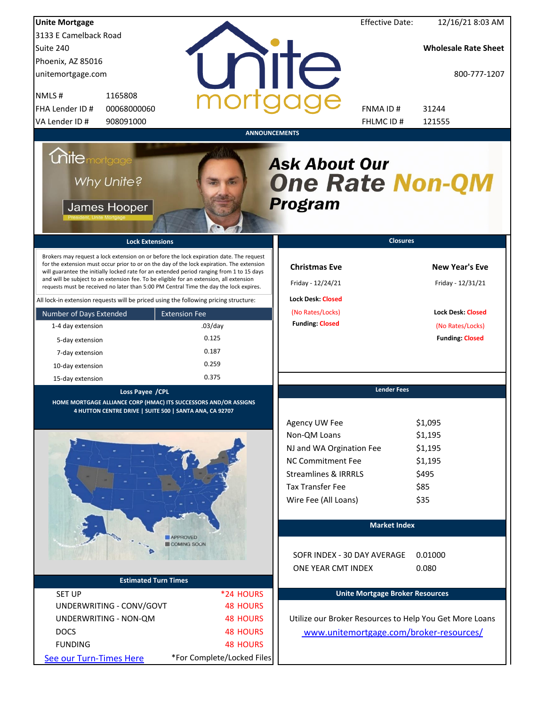| <b>Unite Mortgage</b>                                                                                                                                                                                                                                                                                                                                                                                                                                                                                                                                                                                                                                                                                                                 |                                                                                       |                                                                                                                                                                                         | <b>Effective Date:</b> | 12/16/21 8:03 AM                                                                                                     |
|---------------------------------------------------------------------------------------------------------------------------------------------------------------------------------------------------------------------------------------------------------------------------------------------------------------------------------------------------------------------------------------------------------------------------------------------------------------------------------------------------------------------------------------------------------------------------------------------------------------------------------------------------------------------------------------------------------------------------------------|---------------------------------------------------------------------------------------|-----------------------------------------------------------------------------------------------------------------------------------------------------------------------------------------|------------------------|----------------------------------------------------------------------------------------------------------------------|
| 3133 E Camelback Road                                                                                                                                                                                                                                                                                                                                                                                                                                                                                                                                                                                                                                                                                                                 |                                                                                       |                                                                                                                                                                                         |                        |                                                                                                                      |
| Suite 240                                                                                                                                                                                                                                                                                                                                                                                                                                                                                                                                                                                                                                                                                                                             |                                                                                       |                                                                                                                                                                                         |                        | <b>Wholesale Rate Sheet</b>                                                                                          |
| Phoenix, AZ 85016                                                                                                                                                                                                                                                                                                                                                                                                                                                                                                                                                                                                                                                                                                                     |                                                                                       |                                                                                                                                                                                         |                        |                                                                                                                      |
| unitemortgage.com                                                                                                                                                                                                                                                                                                                                                                                                                                                                                                                                                                                                                                                                                                                     |                                                                                       | <b>TITE</b>                                                                                                                                                                             |                        | 800-777-1207                                                                                                         |
| 1165808<br>NMLS#                                                                                                                                                                                                                                                                                                                                                                                                                                                                                                                                                                                                                                                                                                                      |                                                                                       |                                                                                                                                                                                         |                        |                                                                                                                      |
| FHA Lender ID #<br>00068000060                                                                                                                                                                                                                                                                                                                                                                                                                                                                                                                                                                                                                                                                                                        |                                                                                       | FNMA ID#                                                                                                                                                                                |                        | 31244                                                                                                                |
| VA Lender ID #<br>908091000                                                                                                                                                                                                                                                                                                                                                                                                                                                                                                                                                                                                                                                                                                           |                                                                                       |                                                                                                                                                                                         | FHLMC ID #             | 121555                                                                                                               |
| <b>Unite</b> mortgage<br>Why Unite?<br>James Hooper<br><b>Lock Extensions</b><br>Brokers may request a lock extension on or before the lock expiration date. The request<br>for the extension must occur prior to or on the day of the lock expiration. The extension<br>will guarantee the initially locked rate for an extended period ranging from 1 to 15 days<br>and will be subject to an extension fee. To be eligible for an extension, all extension<br>requests must be received no later than 5:00 PM Central Time the day the lock expires.<br>All lock-in extension requests will be priced using the following pricing structure:<br>Number of Days Extended<br>1-4 day extension<br>5-day extension<br>7-day extension | <b>ANNOUNCEMENTS</b><br><b>Extension Fee</b><br>$.03$ /day<br>0.125<br>0.187<br>0.259 | <b>Ask About Our</b><br><b>One Rate Non-QM</b><br><b>Program</b><br><b>Christmas Eve</b><br>Friday - 12/24/21<br><b>Lock Desk: Closed</b><br>(No Rates/Locks)<br><b>Funding: Closed</b> | <b>Closures</b>        | <b>New Year's Eve</b><br>Friday - 12/31/21<br><b>Lock Desk: Closed</b><br>(No Rates/Locks)<br><b>Funding: Closed</b> |
| 10-day extension                                                                                                                                                                                                                                                                                                                                                                                                                                                                                                                                                                                                                                                                                                                      | 0.375                                                                                 |                                                                                                                                                                                         |                        |                                                                                                                      |
| 15-day extension                                                                                                                                                                                                                                                                                                                                                                                                                                                                                                                                                                                                                                                                                                                      |                                                                                       |                                                                                                                                                                                         | <b>Lender Fees</b>     |                                                                                                                      |
| Loss Payee / CPL<br>HOME MORTGAGE ALLIANCE CORP (HMAC) ITS SUCCESSORS AND/OR ASSIGNS<br>4 HUTTON CENTRE DRIVE   SUITE 500   SANTA ANA, CA 92707                                                                                                                                                                                                                                                                                                                                                                                                                                                                                                                                                                                       |                                                                                       |                                                                                                                                                                                         |                        |                                                                                                                      |
|                                                                                                                                                                                                                                                                                                                                                                                                                                                                                                                                                                                                                                                                                                                                       |                                                                                       | Agency UW Fee<br>Non-QM Loans<br>NJ and WA Orgination Fee<br><b>NC Commitment Fee</b><br><b>Streamlines &amp; IRRRLS</b><br><b>Tax Transfer Fee</b><br>Wire Fee (All Loans)             |                        | \$1,095<br>\$1,195<br>\$1,195<br>\$1,195<br>\$495<br>\$85<br>\$35                                                    |
|                                                                                                                                                                                                                                                                                                                                                                                                                                                                                                                                                                                                                                                                                                                                       |                                                                                       |                                                                                                                                                                                         | <b>Market Index</b>    |                                                                                                                      |
|                                                                                                                                                                                                                                                                                                                                                                                                                                                                                                                                                                                                                                                                                                                                       | <b>APPROVED</b><br>COMING SOON                                                        | SOFR INDEX - 30 DAY AVERAGE<br>ONE YEAR CMT INDEX                                                                                                                                       |                        | 0.01000<br>0.080                                                                                                     |
| <b>Estimated Turn Times</b>                                                                                                                                                                                                                                                                                                                                                                                                                                                                                                                                                                                                                                                                                                           |                                                                                       |                                                                                                                                                                                         |                        |                                                                                                                      |
| <b>SET UP</b>                                                                                                                                                                                                                                                                                                                                                                                                                                                                                                                                                                                                                                                                                                                         | *24 HOURS                                                                             | <b>Unite Mortgage Broker Resources</b>                                                                                                                                                  |                        |                                                                                                                      |
| UNDERWRITING - CONV/GOVT                                                                                                                                                                                                                                                                                                                                                                                                                                                                                                                                                                                                                                                                                                              | <b>48 HOURS</b>                                                                       |                                                                                                                                                                                         |                        |                                                                                                                      |
| UNDERWRITING - NON-QM                                                                                                                                                                                                                                                                                                                                                                                                                                                                                                                                                                                                                                                                                                                 | <b>48 HOURS</b>                                                                       | Utilize our Broker Resources to Help You Get More Loans                                                                                                                                 |                        |                                                                                                                      |
| <b>DOCS</b>                                                                                                                                                                                                                                                                                                                                                                                                                                                                                                                                                                                                                                                                                                                           | <b>48 HOURS</b>                                                                       | www.unitemortgage.com/broker-resources/                                                                                                                                                 |                        |                                                                                                                      |
| <b>FUNDING</b>                                                                                                                                                                                                                                                                                                                                                                                                                                                                                                                                                                                                                                                                                                                        | <b>48 HOURS</b>                                                                       |                                                                                                                                                                                         |                        |                                                                                                                      |
| See our Turn-Times Here                                                                                                                                                                                                                                                                                                                                                                                                                                                                                                                                                                                                                                                                                                               | *For Complete/Locked Files                                                            |                                                                                                                                                                                         |                        |                                                                                                                      |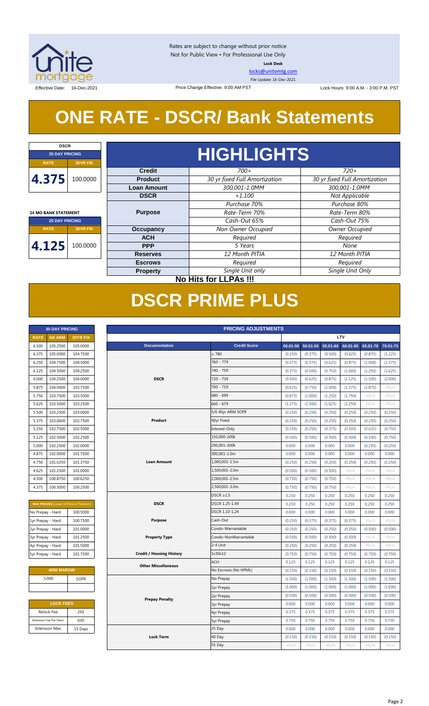

Rates are subject to change without prior notice Not for Public View • For Professional Use Only **Lock Desk**

[locks@unitemtg.com](mailto:locks@unitemtg.com)

File Update: 16-Dec-2021

Effective Date: 16-Dec-2021 **Date:** 16-Dec-2021 Price Change Effective: 9:00 AM PST Lock Hours: 9:00 A.M. - 3:00 P.M. PST

## **ONE RATE - DSCR/ Bank Statements**

Price Change Effective: 9:00 AM PST

| <b>DSCR</b>                 |                              |                    |                               |                               |         |      |  |  |  |  |
|-----------------------------|------------------------------|--------------------|-------------------------------|-------------------------------|---------|------|--|--|--|--|
| <b>25 DAY PRICING</b>       |                              | <b>HIGHLIGHTS</b>  |                               |                               |         |      |  |  |  |  |
| <b>RATE</b>                 | <b>30YR FIX</b>              |                    |                               |                               |         |      |  |  |  |  |
|                             |                              | <b>Credit</b>      | $700+$                        | $720+$                        |         |      |  |  |  |  |
| 4.375                       | 100.0000                     | <b>Product</b>     | 30 yr fixed Full Amortization | 30 yr fixed Full Amortization |         |      |  |  |  |  |
|                             |                              | <b>Loan Amount</b> | 300,001-1.0MM                 | 300,001-1.0MM                 |         |      |  |  |  |  |
|                             |                              | <b>DSCR</b>        | $+1.100$                      | Not Applicable                |         |      |  |  |  |  |
|                             |                              |                    | Purchase 70%                  | Purchase 80%                  |         |      |  |  |  |  |
| <b>24 MO BANK STATEMENT</b> |                              | <b>Purpose</b>     | Rate-Term 70%                 | Rate-Term 80%                 |         |      |  |  |  |  |
| <b>25 DAY PRICING</b>       |                              |                    | Cash-Out 65%                  | Cash-Out 75%                  |         |      |  |  |  |  |
| <b>RATE</b>                 | <b>30YR FIX</b>              | <b>Occupancy</b>   | Non Owner Occupied            | <b>Owner Occupied</b>         |         |      |  |  |  |  |
|                             |                              | <b>ACH</b>         | Required                      | Required                      |         |      |  |  |  |  |
| 4.125                       | 100.0000                     |                    |                               | <b>PPP</b>                    | 5 Years | None |  |  |  |  |
|                             |                              | <b>Reserves</b>    | 12 Month PITIA                | 12 Month PITIA                |         |      |  |  |  |  |
|                             |                              | <b>Escrows</b>     | Required                      | Required                      |         |      |  |  |  |  |
|                             |                              | <b>Property</b>    | Single Unit only              | Single Unit Only              |         |      |  |  |  |  |
|                             | <b>No Hits for LLPAs !!!</b> |                    |                               |                               |         |      |  |  |  |  |

## **DSCR PRIME PLUS**

|             | <b>30 DAY PRICING</b> |                 |
|-------------|-----------------------|-----------------|
| <b>RATE</b> | <b>5/6 ARM</b>        | <b>30YR FIX</b> |
| 6.500       | 105.2500              | 105,0000        |
| 6.375       | 105.0000              | 104.7500        |
| 6.250       | 104.7500              | 104.5000        |
| 6.125       | 104.5000              | 104.2500        |
| 6.000       | 104.2500              | 104.0000        |
| 5.875       | 104.0000              | 103.7500        |
| 5.750       | 103.7500              | 103.5000        |
| 5.625       | 103.5000              | 103.2500        |
| 5.500       | 103.2500              | 103,0000        |
| 5.375       | 103.0000              | 102.7500        |
| 5.250       | 102.7500              | 102.5000        |
| 5.125       | 102.5000              | 102.2500        |
| 5.000       | 102.2500              | 102,0000        |
| 4.875       | 102.0000              | 101.7500        |
| 4.750       | 101.6250              | 101.3750        |
| 4.625       | 101.2500              | 101.0000        |
| 4.500       | 100.8750              | 100.6250        |
| 4.375       | 100.5000              | 100.2500        |

| <b>MAX PRICING (Lower of Price or Premium)</b> |          |  |  |  |  |  |  |
|------------------------------------------------|----------|--|--|--|--|--|--|
| No Prepay - Hard                               | 100.5000 |  |  |  |  |  |  |
| 1yr Prepay - Hard                              | 100.7500 |  |  |  |  |  |  |
| 2yr Prepay - Hard                              | 101.0000 |  |  |  |  |  |  |
| 3yr Prepay - Hard                              | 101.2500 |  |  |  |  |  |  |
| 4yr Prepay - Hard                              | 101.5000 |  |  |  |  |  |  |
| 5yr Prepay - Hard                              | 101.7500 |  |  |  |  |  |  |

| <b>ARM MARGIN</b> |             |  |  |  |  |
|-------------------|-------------|--|--|--|--|
| 5.000             | <b>SOFR</b> |  |  |  |  |
|                   |             |  |  |  |  |

| <b>LOCK FEES</b> |  |  |  |  |  |  |
|------------------|--|--|--|--|--|--|
| .250             |  |  |  |  |  |  |
| .030             |  |  |  |  |  |  |
| 15 Days          |  |  |  |  |  |  |
|                  |  |  |  |  |  |  |

|                   | <b>30 DAY PRICING</b>   |                                                | <b>PRICING ADJUSTMENTS</b> |                                 |  |                      |          |          |          |            |          |          |
|-------------------|-------------------------|------------------------------------------------|----------------------------|---------------------------------|--|----------------------|----------|----------|----------|------------|----------|----------|
| <b>RATE</b>       | <b>5/6 ARM</b>          | 30YR FIX                                       |                            |                                 |  |                      |          |          |          | <b>LTV</b> |          |          |
| 6.500             | 105.2500                | 105.0000                                       |                            | <b>Documentation</b>            |  | <b>Credit Score</b>  | 00.01-50 | 50.01-55 | 55.01-60 | 60.01-65   | 65.01-70 | 70.01-75 |
| 6.375             | 105.0000                | 104.7500                                       |                            |                                 |  | $\geq 780$           | (0.250)  | (0.375)  | (0.500)  | (0.625)    | (0.875)  | (1.125)  |
| 6.250             | 104.7500                | 104.5000                                       |                            |                                 |  | 760 - 779            | (0.375)  | (0.375)  | (0.625)  | (0.875)    | (1.000)  | (1.375)  |
| 6.125             | 104.5000                | 104.2500                                       |                            |                                 |  | 740 - 759            | (0.375)  | (0.500)  | (0.750)  | (1.000)    | (1.250)  | (1.625)  |
| 6.000             | 104.2500                | 104.0000                                       |                            | <b>DSCR</b>                     |  | 720 - 739            | (0.500)  | (0.625)  | (0.875)  | (1.125)    | (1.500)  | (2.000)  |
| 5.875             | 104.0000                | 103.7500                                       |                            |                                 |  | 700 - 719            | (0.625)  | (0.750)  | (1.000)  | (1.375)    | (1.875)  | #N/A     |
| 5.750             | 103.7500                | 103.5000                                       |                            |                                 |  | 680 - 699            | (0.875)  | (1.000)  | (1.250)  | (1.750)    | #N/A     | #N/A     |
| 5.625             | 103.5000                | 103.2500                                       |                            |                                 |  | $660 - 679$          | (1.375)  | (1.500)  | (1.625)  | (2.250)    | $\#N/A$  | $\#N/A$  |
| 5.500             | 103.2500                | 103.0000                                       |                            |                                 |  | 5/6 40yr ARM SOFR    | (0.250)  | (0.250)  | (0.250)  | (0.250)    | (0.250)  | (0.250)  |
| 5.375             | 103.0000                | 102.7500                                       |                            | Product                         |  | 40yr Fixed           | (0.250)  | (0.250)  | (0.250)  | (0.250)    | (0.250)  | (0.250)  |
| 5.250             | 102.7500                | 102.5000                                       |                            |                                 |  | Interest-Only        | (0.250)  | (0.250)  | (0.375)  | (0.500)    | (0.625)  | (0.750)  |
| 5.125             | 102.5000                | 102.2500                                       |                            |                                 |  | 150,000-200k         | (0.500)  | (0.500)  | (0.500)  | (0.500)    | (0.500)  | (0.750)  |
| 5.000             | 102.2500                | 102.0000                                       |                            |                                 |  | 200,001-300k         | 0.000    | 0.000    | 0.000    | 0.000      | (0.250)  | (0.250)  |
| 4.875             | 102.0000                | 101.7500                                       |                            |                                 |  | 300,001-1.0m         | 0.000    | 0.000    | 0.000    | 0.000      | 0.000    | 0.000    |
| 4.750             | 101.6250                | 101.3750                                       |                            | <b>Loan Amount</b>              |  | 1,000,001-1.5m       | (0.250)  | (0.250)  | (0.250)  | (0.250)    | (0.250)  | (0.250)  |
| 4.625             | 101.2500                | 101.0000                                       |                            |                                 |  | 1,500,001-2.0m       | (0.500)  | (0.500)  | (0.500)  | $\#N/A$    | $\#N/A$  | $\#N/A$  |
| 4.500             | 100.8750                | 100.6250                                       |                            |                                 |  | 2,000,001-2.5m       | (0.750)  | (0.750)  | (0.750)  | #N/A       | #N/A     | #N/A     |
| 4.375             | 100.5000                | 100.2500                                       |                            |                                 |  | 2,500,001-3.0m       | (0.750)  | (0.750)  | (0.750)  | $\#N/A$    | #N/A     | #N/A     |
|                   |                         |                                                |                            |                                 |  | $DSCR \geq 1.5$      | 0.250    | 0.250    | 0.250    | 0.250      | 0.250    | 0.250    |
|                   |                         | <b>MAX PRICING</b> (Lower of Price or Premium) |                            | <b>DSCR</b>                     |  | DSCR 1.25-1.49       | 0.250    | 0.250    | 0.250    | 0.250      | 0.250    | 0.250    |
| No Prepay - Hard  |                         | 100.5000                                       |                            |                                 |  | DSCR 1.10-1.24       | 0.000    | 0.000    | 0.000    | 0.000      | 0.000    | 0.000    |
| 1yr Prepay - Hard |                         | 100.7500                                       |                            | <b>Purpose</b>                  |  | Cash-Out             | (0.250)  | (0.375)  | (0.375)  | (0.375)    | #N/A     | #N/A     |
| 2yr Prepay - Hard |                         | 101.0000                                       |                            |                                 |  | Condo-Warrantable    | (0.250)  | (0.250)  | (0.250)  | (0.250)    | (0.500)  | (0.500)  |
| 3yr Prepay - Hard |                         | 101.2500                                       |                            | <b>Property Type</b>            |  | Condo-NonWarrantable | (0.500)  | (0.500)  | (0.500)  | (0.500)    | $\#N/A$  | $\#N/A$  |
| 4yr Prepay - Hard |                         | 101.5000                                       |                            |                                 |  | 2-4 Unit             | (0.250)  | (0.250)  | (0.250)  | (0.250)    | #N/A     | #N/A     |
| 5yr Prepay - Hard |                         | 101.7500                                       |                            | <b>Credit / Housing History</b> |  | 1x30x12              | (0.750)  | (0.750)  | (0.750)  | (0.750)    | (0.750)  | (0.750)  |
|                   |                         |                                                |                            | <b>Other Miscellaneous</b>      |  | <b>ACH</b>           | 0.125    | 0.125    | 0.125    | 0.125      | 0.125    | 0.125    |
|                   | <b>ARM MARGIN</b>       |                                                |                            |                                 |  | No Escrows (No HPML) | (0.150)  | (0.150)  | (0.150)  | (0.150)    | (0.150)  | (0.150)  |
|                   | 5.000                   | <b>SOFR</b>                                    |                            |                                 |  | No Prepay            | (1.500)  | (1.500)  | (1.500)  | (1.500)    | (1.500)  | (1.500)  |
|                   |                         |                                                |                            |                                 |  | 1yr Prepay           | (1.000)  | (1.000)  | (1.000)  | (1.000)    | (1.000)  | (1.000)  |
|                   |                         |                                                |                            | <b>Prepay Penalty</b>           |  | 2yr Prepay           | (0.500)  | (0.500)  | (0.500)  | (0.500)    | (0.500)  | (0.500)  |
|                   | <b>LOCK FEES</b>        |                                                |                            |                                 |  | <b>3yr Prepay</b>    | 0.000    | 0.000    | 0.000    | 0.000      | 0.000    | 0.000    |
|                   | Relock Fee:             | .250                                           |                            |                                 |  | 4yr Prepay           | 0.375    | 0.375    | 0.375    | 0.375      | 0.375    | 0.375    |
|                   | Extension Fee Per Diem: | .030                                           |                            |                                 |  | <b>5yr Prepay</b>    | 0.750    | 0.750    | 0.750    | 0.750      | 0.750    | 0.750    |
|                   | <b>Extension Max:</b>   | 15 Days                                        |                            |                                 |  | 25 Day               | 0.000    | 0.000    | 0.000    | 0.000      | 0.000    | 0.000    |
|                   |                         |                                                |                            | <b>Lock Term</b>                |  | 40 Day               | (0.150)  | (0.150)  | (0.150)  | (0.150)    | (0.150)  | (0.150)  |
|                   |                         |                                                |                            |                                 |  | 55 Day               | #N/A     | $\#N/A$  | $\#N/A$  | #N/A       | #N/A     | $\#N/A$  |
|                   |                         |                                                |                            |                                 |  |                      |          |          |          |            |          |          |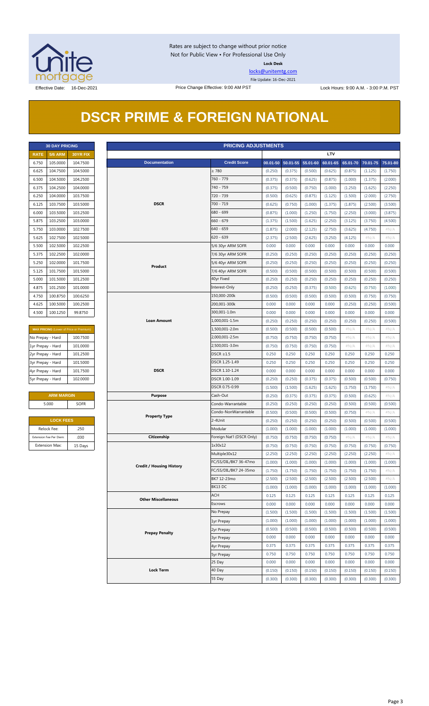

Rates are subject to change without prior notice Not for Public View • For Professional Use Only **Lock Desk**

[locks@unitemtg.com](mailto:locks@unitemtg.com)

File Update: 16-Dec-2021

## **DSCR PRIME & FOREIGN NATIONAL**

|             | <b>30 DAY PRICING</b> |                 |  |  |  |  |  |  |
|-------------|-----------------------|-----------------|--|--|--|--|--|--|
| <b>RATF</b> | <b>5/6 ARM</b>        | <b>30YR FIX</b> |  |  |  |  |  |  |
| 6.750       | 105.0000              | 104.7500        |  |  |  |  |  |  |
| 6.625       | 104.7500              | 104.5000        |  |  |  |  |  |  |
| 6.500       | 104.5000              | 104.2500        |  |  |  |  |  |  |
| 6.375       | 104.2500              | 104.0000        |  |  |  |  |  |  |
| 6.250       | 104.0000              | 103.7500        |  |  |  |  |  |  |
| 6.125       | 103.7500              | 103.5000        |  |  |  |  |  |  |
| 6.000       | 103.5000              | 103.2500        |  |  |  |  |  |  |
| 5.875       | 103.2500              | 103.0000        |  |  |  |  |  |  |
| 5.750       | 103.0000              | 102.7500        |  |  |  |  |  |  |
| 5.625       | 102.7500              | 102.5000        |  |  |  |  |  |  |
| 5.500       | 102.5000              | 102.2500        |  |  |  |  |  |  |
| 5.375       | 102.2500              | 102,0000        |  |  |  |  |  |  |
| 5.250       | 102.0000              | 101.7500        |  |  |  |  |  |  |
| 5.125       | 101.7500              | 101.5000        |  |  |  |  |  |  |
| 5.000       | 101.5000              | 101.2500        |  |  |  |  |  |  |
| 4.875       | 101.2500              | 101.0000        |  |  |  |  |  |  |
| 4.750       | 100.8750              | 100.6250        |  |  |  |  |  |  |
| 4.625       | 100.5000              | 100.2500        |  |  |  |  |  |  |
| 4.500       | 100.1250              | 99.8750         |  |  |  |  |  |  |

| <b>MAX PRICING</b> (Lower of Price or Premium) |          |  |  |  |  |  |  |
|------------------------------------------------|----------|--|--|--|--|--|--|
| No Prepay - Hard                               | 100.7500 |  |  |  |  |  |  |
| 1yr Prepay - Hard                              | 101.0000 |  |  |  |  |  |  |
| 2yr Prepay - Hard                              | 101.2500 |  |  |  |  |  |  |
| 3yr Prepay - Hard                              | 101.5000 |  |  |  |  |  |  |
| 4yr Prepay - Hard                              | 101.7500 |  |  |  |  |  |  |
| 5yr Prepay - Hard                              | 102.0000 |  |  |  |  |  |  |

| <b>ARM MARGIN</b> |             |  |  |  |  |  |
|-------------------|-------------|--|--|--|--|--|
| 5.000             | <b>SOFR</b> |  |  |  |  |  |
|                   |             |  |  |  |  |  |

| <b>LOCK FEES</b>        |         |  |  |  |  |  |
|-------------------------|---------|--|--|--|--|--|
| Relock Fee:             | .250    |  |  |  |  |  |
| Extension Fee Per Diem: | .030    |  |  |  |  |  |
| <b>Extension Max:</b>   | 15 Days |  |  |  |  |  |

|                   | <b>PRICING ADJUSTMENTS</b><br><b>30 DAY PRICING</b> |                                         |                                 |                           |         |                            |         |            |         |                            |         |
|-------------------|-----------------------------------------------------|-----------------------------------------|---------------------------------|---------------------------|---------|----------------------------|---------|------------|---------|----------------------------|---------|
| <b>RATE</b>       | <b>5/6 ARM</b>                                      | 30YR FIX                                |                                 |                           |         |                            |         | <b>LTV</b> |         |                            |         |
| 6.750             | 105.0000                                            | 104.7500                                | <b>Documentation</b>            | <b>Credit Score</b>       |         | 00.01-50 50.01-55 55.01-60 |         | 60.01-65   |         | 65.01-70 70.01-75 75.01-80 |         |
| 6.625             | 104.7500                                            | 104.5000                                |                                 | $\geq 780$                | (0.250) | (0.375)                    | (0.500) | (0.625)    | (0.875) | (1.125)                    | (1.750) |
| 6.500             | 104.5000                                            | 104.2500                                |                                 | 760 - 779                 | (0.375) | (0.375)                    | (0.625) | (0.875)    | (1.000) | (1.375)                    | (2.000) |
| 6.375             | 104.2500                                            | 104.0000                                |                                 | 740 - 759                 | (0.375) | (0.500)                    | (0.750) | (1.000)    | (1.250) | (1.625)                    | (2.250) |
| 6.250             | 104.0000                                            | 103.7500                                |                                 | 720 - 739                 | (0.500) | (0.625)                    | (0.875) | (1.125)    | (1.500) | (2.000)                    | (2.750) |
| 6.125             | 103.7500                                            | 103.5000                                | <b>DSCR</b>                     | 700 - 719                 | (0.625) | (0.750)                    | (1.000) | (1.375)    | (1.875) | (2.500)                    | (3.500) |
| 6.000             | 103.5000                                            | 103.2500                                |                                 | 680 - 699                 | (0.875) | (1.000)                    | (1.250) | (1.750)    | (2.250) | (3.000)                    | (3.875) |
| 5.875             | 103.2500                                            | 103.0000                                |                                 | $660 - 679$               | (1.375) | (1.500)                    | (1.625) | (2.250)    | (3.125) | (3.750)                    | (4.500) |
| 5.750             | 103.0000                                            | 102.7500                                |                                 | 640 - 659                 | (1.875) | (2.000)                    | (2.125) | (2.750)    | (3.625) | (4.750)                    | $\#N/A$ |
| 5.625             | 102.7500                                            | 102.5000                                |                                 | $620 - 639$               | (2.375) | (2.500)                    | (2.625) | (3.250)    | (4.125) | # $N/A$                    | $\#N/A$ |
| 5.500             | 102.5000                                            | 102.2500                                |                                 | 5/6 30yr ARM SOFR         | 0.000   | 0.000                      | 0.000   | 0.000      | 0.000   | 0.000                      | 0.000   |
| 5.375             | 102.2500                                            | 102.0000                                |                                 | 7/6 30yr ARM SOFR         | (0.250) | (0.250)                    | (0.250) | (0.250)    | (0.250) | (0.250)                    | (0.250) |
| 5.250             | 102.0000                                            | 101.7500                                |                                 | 5/6 40yr ARM SOFR         | (0.250) | (0.250)                    | (0.250) | (0.250)    | (0.250) | (0.250)                    | (0.250) |
| 5.125             | 101.7500                                            | 101.5000                                | Product                         | 7/6 40yr ARM SOFR         | (0.500) | (0.500)                    | (0.500) | (0.500)    | (0.500) | (0.500)                    | (0.500) |
| 5.000             | 101.5000                                            | 101.2500                                |                                 | 40yr Fixed                | (0.250) | (0.250)                    | (0.250) | (0.250)    | (0.250) | (0.250)                    | (0.250) |
|                   | 101.2500                                            | 101.0000                                |                                 | Interest-Only             |         |                            |         |            |         |                            |         |
| 4.875             | 100.8750                                            |                                         |                                 | 150,000-200k              | (0.250) | (0.250)                    | (0.375) | (0.500)    | (0.625) | (0.750)                    | (1.000) |
| 4.750             |                                                     | 100.6250                                |                                 |                           | (0.500) | (0.500)                    | (0.500) | (0.500)    | (0.500) | (0.750)                    | (0.750) |
| 4.625             | 100.5000                                            | 100.2500                                |                                 | 200,001-300k              | 0.000   | 0.000                      | 0.000   | 0.000      | (0.250) | (0.250)                    | (0.500) |
| 4.500             | 100.1250                                            | 99.8750                                 |                                 | 300,001-1.0m              | 0.000   | 0.000                      | 0.000   | 0.000      | 0.000   | 0.000                      | 0.000   |
|                   |                                                     |                                         | <b>Loan Amount</b>              | 1,000,001-1.5m            | (0.250) | (0.250)                    | (0.250) | (0.250)    | (0.250) | (0.250)                    | (0.500) |
|                   |                                                     | MAX PRICING (Lower of Price or Premium) |                                 | 1,500,001-2.0m            | (0.500) | (0.500)                    | (0.500) | (0.500)    | $\#N/A$ | #N/A                       | $\#N/A$ |
| No Prepay - Hard  |                                                     | 100.7500                                |                                 | 2,000,001-2.5m            | (0.750) | (0.750)                    | (0.750) | (0.750)    | # $N/A$ | # $N/A$                    | $\#N/A$ |
| 1yr Prepay - Hard |                                                     | 101.0000                                |                                 | 2,500,001-3.0m            | (0.750) | (0.750)                    | (0.750) | (0.750)    | # $N/A$ | # $N/A$                    | $\#N/A$ |
| 2yr Prepay - Hard |                                                     | 101.2500                                |                                 | $DSCR \geq 1.5$           | 0.250   | 0.250                      | 0.250   | 0.250      | 0.250   | 0.250                      | 0.250   |
| 3yr Prepay - Hard |                                                     | 101.5000                                |                                 | DSCR 1.25-1.49            | 0.250   | 0.250                      | 0.250   | 0.250      | 0.250   | 0.250                      | 0.250   |
| 4yr Prepay - Hard |                                                     | 101.7500                                | <b>DSCR</b>                     | DSCR 1.10-1.24            | 0.000   | 0.000                      | 0.000   | 0.000      | 0.000   | 0.000                      | 0.000   |
| 5yr Prepay - Hard |                                                     | 102.0000                                |                                 | DSCR 1.00-1.09            | (0.250) | (0.250)                    | (0.375) | (0.375)    | (0.500) | (0.500)                    | (0.750) |
|                   |                                                     |                                         |                                 | DSCR 0.75-0.99            | (1.500) | (1.500)                    | (1.625) | (1.625)    | (1.750) | (1.750)                    | #N/A    |
|                   | <b>ARM MARGIN</b>                                   |                                         | <b>Purpose</b>                  | Cash-Out                  | (0.250) | (0.375)                    | (0.375) | (0.375)    | (0.500) | (0.625)                    | $\#N/A$ |
|                   | 5.000                                               | <b>SOFR</b>                             |                                 | Condo-Warrantable         | (0.250) | (0.250)                    | (0.250) | (0.250)    | (0.500) | (0.500)                    | (0.500) |
|                   |                                                     |                                         | <b>Property Type</b>            | Condo-NonWarrantable      | (0.500) | (0.500)                    | (0.500) | (0.500)    | (0.750) | #N/A                       | #N/A    |
|                   | <b>LOCK FEES</b>                                    |                                         |                                 | 2-4Unit                   | (0.250) | (0.250)                    | (0.250) | (0.250)    | (0.500) | (0.500)                    | (0.500) |
|                   | Relock Fee:                                         | .250                                    |                                 | Modular                   | (1.000) | (1.000)                    | (1.000) | (1.000)    | (1.000) | (1.000)                    | (1.000) |
|                   | Extension Fee Per Diem:                             | .030                                    | Citizenship                     | Foreign Nat'l (DSCR Only) | (0.750) | (0.750)                    | (0.750) | (0.750)    | $\#N/A$ | $\#N/A$                    | $\#N/A$ |
|                   | <b>Extension Max:</b>                               | 15 Days                                 |                                 | 1x30x12                   | (0.750) | (0.750)                    | (0.750) | (0.750)    | (0.750) | (0.750)                    | (0.750) |
|                   |                                                     |                                         |                                 | Multiple30x12             | (2.250) | (2.250)                    | (2.250) | (2.250)    | (2.250) | (2.250)                    | $\#N/A$ |
|                   |                                                     |                                         |                                 | FC/SS/DIL/BK7 36-47mo     | (1.000) | (1.000)                    | (1.000) | (1.000)    | (1.000) | (1.000)                    | (1.000) |
|                   |                                                     |                                         | <b>Credit / Housing History</b> | FC/SS/DIL/BK7 24-35mo     | (1.750) | (1.750)                    | (1.750) | (1.750)    | (1.750) | (1.750)                    | $\#N/A$ |
|                   |                                                     |                                         |                                 | BK7 12-23mo               | (2.500) | (2.500)                    | (2.500) | (2.500)    | (2.500) | (2.500)                    | # $N/A$ |
|                   |                                                     |                                         |                                 | BK13 DC                   | (1.000) | (1.000)                    | (1.000) | (1.000)    | (1.000) | (1.000)                    | (1.000) |
|                   |                                                     |                                         |                                 | <b>ACH</b>                | 0.125   | 0.125                      | 0.125   | 0.125      | 0.125   | 0.125                      | 0.125   |
|                   |                                                     |                                         | <b>Other Miscellaneous</b>      | Escrows                   | 0.000   | 0.000                      | 0.000   | 0.000      | 0.000   | 0.000                      | 0.000   |
|                   |                                                     |                                         |                                 | No Prepay                 | (1.500) | (1.500)                    | (1.500) | (1.500)    | (1.500) | (1.500)                    | (1.500) |
|                   |                                                     |                                         |                                 | 1yr Prepay                | (1.000) | (1.000)                    | (1.000) | (1.000)    | (1.000) | (1.000)                    | (1.000) |
|                   |                                                     |                                         |                                 | 2yr Prepay                | (0.500) | (0.500)                    | (0.500) | (0.500)    | (0.500) | (0.500)                    | (0.500) |
|                   |                                                     |                                         | <b>Prepay Penalty</b>           | <b>3yr Prepay</b>         | 0.000   | 0.000                      | 0.000   | 0.000      | 0.000   | 0.000                      | 0.000   |
|                   |                                                     |                                         |                                 | 4yr Prepay                | 0.375   | 0.375                      | 0.375   | 0.375      | 0.375   | 0.375                      | 0.375   |
|                   |                                                     |                                         |                                 | <b>5yr Prepay</b>         | 0.750   | 0.750                      | 0.750   | 0.750      | 0.750   | 0.750                      | 0.750   |
|                   |                                                     |                                         |                                 | 25 Day                    | 0.000   | 0.000                      | 0.000   | 0.000      | 0.000   | 0.000                      | 0.000   |
|                   |                                                     |                                         | <b>Lock Term</b>                | 40 Day                    | (0.150) | (0.150)                    | (0.150) | (0.150)    | (0.150) | (0.150)                    | (0.150) |
|                   |                                                     |                                         |                                 | 55 Day                    | (0.300) | (0.300)                    | (0.300) | (0.300)    | (0.300) | (0.300)                    | (0.300) |
|                   |                                                     |                                         |                                 |                           |         |                            |         |            |         |                            |         |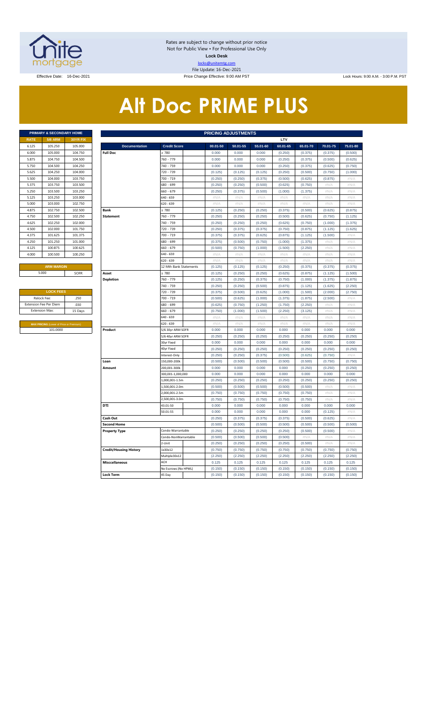

Rates are subject to change without prior notice Not for Public View • For Professional Use Only **Lock Desk** locks@unitemtg.com File Update: 16-Dec-2021

Effective Date: 16-Dec-2021 **Price Change Effective: 9:00 AM PST** Lock Hours: 9:00 A.M. - 3:00 P.M. PST

## **Alt Doc PRIME PLUS**

|             | <b>PRIMARY &amp; SECONDARY HOME</b> |                 |
|-------------|-------------------------------------|-----------------|
| <b>RATE</b> | <b>5/6 ARM</b>                      | <b>30YR FIX</b> |
| 6.125       | 105.250                             | 105,000         |
| 6.000       | 105,000                             | 104.750         |
| 5.875       | 104.750                             | 104.500         |
| 5.750       | 104.500                             | 104.250         |
| 5.625       | 104.250                             | 104.000         |
| 5.500       | 104.000                             | 103.750         |
| 5.375       | 103.750                             | 103.500         |
| 5.250       | 103.500                             | 103.250         |
| 5.125       | 103.250                             | 103,000         |
| 5.000       | 103,000                             | 102.750         |
| 4.875       | 102.750                             | 102.500         |
| 4.750       | 102.500                             | 102.250         |
| 4.625       | 102.250                             | 102.000         |
| 4.500       | 102,000                             | 101.750         |
| 4.375       | 101.625                             | 101.375         |
| 4.250       | 101.250                             | 101.000         |
| 4.125       | 100.875                             | 100.625         |
| 4.000       | 100.500                             | 100.250         |
|             |                                     |                 |

|                                                | <b>LOCK FEES</b> |  |  |  |  |  |  |  |  |  |
|------------------------------------------------|------------------|--|--|--|--|--|--|--|--|--|
| Relock Fee:                                    | .250             |  |  |  |  |  |  |  |  |  |
| <b>Extension Fee Per Diem</b>                  | .030             |  |  |  |  |  |  |  |  |  |
| <b>Extension Max:</b>                          | 15 Days          |  |  |  |  |  |  |  |  |  |
|                                                |                  |  |  |  |  |  |  |  |  |  |
| <b>MAX PRICING (Lower of Price or Premium)</b> |                  |  |  |  |  |  |  |  |  |  |
| 101.0000                                       |                  |  |  |  |  |  |  |  |  |  |

|       | PRIMARY & SECONDARY HOME                |          |                               |                        | <b>PRICING ADJUSTMENTS</b> |          |             |          |          |            |                   |
|-------|-----------------------------------------|----------|-------------------------------|------------------------|----------------------------|----------|-------------|----------|----------|------------|-------------------|
| RATE  | <b>5/6 ARM</b>                          | 30YR FIX |                               |                        |                            |          |             | LTV      |          |            |                   |
| 6.125 | 105.250                                 | 105.000  | <b>Documentation</b>          | <b>Credit Score</b>    | $00.01 - 50$               | 50.01-55 | 55.01-60    | 60.01-65 | 65.01-70 | 70.01-75   | 75.01-80          |
| 6.000 | 105.000                                 | 104.750  | <b>Full Doc</b>               | 2780                   | 0.000                      | 0.000    | 0.000       | (0.250)  | (0.375)  | (0.375)    | (0.500)           |
| 5.875 | 104.750                                 | 104.500  |                               | 760 - 779              | 0.000                      | 0.000    | 0.000       | (0.250)  | (0.375)  | (0.500)    | (0.625)           |
| 5.750 | 104.500                                 | 104.250  |                               | 740 - 759              | 0.000                      | 0.000    | 0.000       | (0.250)  | (0.375)  | (0.625)    | (0.750)           |
| 5.625 | 104.250                                 | 104.000  |                               | 720 - 739              | (0.125)                    | (0.125)  | (0.125)     | (0.250)  | (0.500)  | (0.750)    | (1.000)           |
| 5.500 | 104.000                                 | 103.750  |                               | 700 - 719              | (0.250)                    | (0.250)  | (0.375)     | (0.500)  | (0.625)  | (0.875)    | #N/A              |
| 5.375 | 103.750                                 | 103.500  |                               | 680 - 699              | (0.250)                    | (0.250)  | (0.500)     | (0.625)  | (0.750)  | $\#N/A$    | $\#N/A$           |
| 5.250 | 103.500                                 | 103.250  |                               | 660 - 679              | (0.250)                    | (0.375)  | (0.500)     | (1.000)  | (1.375)  | #N/A       | $\#N/A$           |
| 5.125 | 103.250                                 | 103.000  |                               | 640 - 659              | #N/A                       | #N/A     | #N/A        | #N/A     | #N/A     | #N/A       | #N/A              |
| 5.000 | 103.000                                 | 102.750  |                               | 620 - 639              | $\#N/A$                    | #N/A     | #N/A        | #N/A     | $\#N/A$  | #N/A       | $\#N/A$           |
| 4.875 | 102.750                                 | 102.500  | <b>Bank</b>                   | $\geq 780$             | (0.125)                    | (0.250)  | (0.250)     | (0.375)  | (0.500)  | (0.625)    | (0.875)           |
| 4.750 | 102.500                                 | 102.250  | <b>Statement</b>              | 760 - 779              | (0.250)                    | (0.250)  | (0.250)     | (0.500)  | (0.625)  | (0.750)    | (1.125)           |
| 4.625 | 102.250                                 | 102,000  |                               | 740 - 759              | (0.250)                    | (0.250)  | (0.250)     | (0.625)  | (0.750)  | (1.000)    | (1.375)           |
| 4.500 | 102.000                                 | 101.750  |                               | 720 - 739              | (0.250)                    | (0.375)  | (0.375)     | (0.750)  | (0.875)  | (1.125)    | (1.625)           |
| 4.375 | 101.625                                 | 101.375  |                               | 700 - 719              | (0.375)                    | (0.375)  | (0.625)     | (0.875)  | (1.125)  | (1.500)    | $\#N/A$           |
| 4.250 | 101.250                                 | 101.000  |                               | 680 - 699              | (0.375)                    | (0.500)  | (0.750)     | (1.000)  | (1.375)  | #N/A       | #N/A              |
| 4.125 | 100.875                                 | 100.625  |                               | 660 - 679              | (0.500)                    | (0.750)  | (1.000)     | (1.500)  | (2.250)  | #N/A       | #N/A              |
| 4.000 | 100.500                                 | 100.250  |                               | 640 - 659              | #N/A                       | #N/A     | #N/A        | #N/A     | #N/A     | #N/A       | #N/A              |
|       |                                         |          |                               | 620 - 639              | #N/A                       | #N/A     | #N/A        | #N/A     | #N/A     | #N/A       | #N/A              |
|       | <b>ARM MARGIN</b>                       |          |                               | 12 Mth Bank Statements | (0.125)                    | (0.125)  | (0.125)     | (0.250)  | (0.375)  | (0.375)    | (0.375)           |
|       | 5.000                                   | SOFR     | Asset                         | $\geq 780$             | (0.125)                    | (0.250)  | (0.250)     | (0.625)  | (0.875)  | (1.125)    | (1.500)           |
|       |                                         |          | <b>Depletion</b>              | 760 - 779              | (0.125)                    | (0.250)  | (0.375)     | (0.750)  | (1.000)  | (1.375)    | (1.875)           |
|       |                                         |          |                               | 740 - 759              | (0.250)                    | (0.250)  | (0.500)     | (0.875)  | (1.125)  | (1.625)    | (2.250)           |
|       | <b>LOCK FEES</b>                        |          |                               | 720 - 739              | (0.375)                    | (0.500)  | (0.625)     | (1.000)  | (1.500)  | (2.000)    | (2.750)           |
|       | Relock Fee:                             | .250     |                               | 700 - 719              | (0.500)                    | (0.625)  | (1.000)     | (1.375)  | (1.875)  | (2.500)    | #N/A              |
|       | xtension Fee Per Diem                   | .030     |                               | 680 - 699              | (0.625)                    | (0.750)  | (1.250)     | (1.750)  | (2.250)  | $\#N/A$    | $\#N/\beta$       |
|       | <b>Extension Max:</b>                   | 15 Days  |                               | 660 - 679              | (0.750)                    | (1.000)  | (1.500)     | (2.250)  | (3.125)  | #N/A       | #N/A              |
|       |                                         |          |                               | 640 - 659              | $\#N/A$                    | $\#N/A$  | $\#N/A$     | #N/A     | $\#N/A$  | # $N/A$    | $\#N/A$           |
|       | MAX PRICING (Lower of Price or Premium) |          |                               | 620 - 639              | $\#N/I$                    | #N/A     | $\#N/\beta$ | #N/A     | $\#NI/$  | $\#N/\ell$ | $\#N/\mathcal{A}$ |
|       | 101.0000                                |          | Product                       | 5/6 30yr ARM SOFR      | 0.000                      | 0.000    | 0.000       | 0.000    | 0.000    | 0.000      | 0.000             |
|       |                                         |          |                               | 5/6 40yr ARM SOFR      | (0.250)                    | (0.250)  | (0.250)     | (0.250)  | (0.250)  | (0.250)    | (0.250)           |
|       |                                         |          |                               | 30yr Fixed             | 0.000                      | 0.000    | 0.000       | 0.000    | 0.000    | 0.000      | 0.000             |
|       |                                         |          |                               | 40yr Fixed             | (0.250)                    | (0.250)  | (0.250)     | (0.250)  | (0.250)  | (0.250)    | (0.250)           |
|       |                                         |          |                               | Interest-Only          | (0.250)                    | (0.250)  | (0.375)     | (0.500)  | (0.625)  | (0.750)    | #N/A              |
|       |                                         |          | Loan                          | 150.000-200k           | (0.500)                    | (0.500)  | (0.500)     | (0.500)  | (0.500)  | (0.750)    | (0.750)           |
|       |                                         |          | Amount                        | 200,001-300k           | 0.000                      | 0.000    | 0.000       | 0.000    | (0.250)  | (0.250)    | (0.250)           |
|       |                                         |          |                               | 300,001-1,000,000      | 0.000                      | 0.000    | 0.000       | 0.000    | 0.000    | 0.000      | 0.000             |
|       |                                         |          |                               | 1,000,001-1.5m         | (0.250)                    | (0.250)  | (0.250)     | (0.250)  | (0.250)  | (0.250)    | (0.250)           |
|       |                                         |          |                               | 1,500,001-2.0m         | (0.500)                    | (0.500)  | (0.500)     | (0.500)  | (0.500)  | $\#N/A$    | #N/A              |
|       |                                         |          |                               | 2,000,001-2.5m         | (0.750)                    | (0.750)  | (0.750)     | (0.750)  | (0.750)  | # $N/A$    | #N/A              |
|       |                                         |          |                               | 2,500,001-3.0m         | (0.750)                    | (0.750)  | (0.750)     | (0.750)  | (0.750)  | #N/A       | #N/A              |
|       |                                         |          | <b>DTI</b>                    | 43.01-50               | 0.000                      | 0.000    | 0.000       | 0.000    | 0.000    | 0.000      | 0.000             |
|       |                                         |          |                               | 50.01-55               | 0.000                      | 0.000    | 0.000       | 0.000    | 0.000    | (0.125)    | #N/A              |
|       |                                         |          | Cash Out                      |                        | (0.250)                    | (0.375)  | (0.375)     | (0.375)  | (0.500)  | (0.625)    | $\#N/A$           |
|       |                                         |          | <b>Second Home</b>            |                        | (0.500)                    | (0.500)  | (0.500)     | (0.500)  | (0.500)  | (0.500)    | (0.500)           |
|       |                                         |          | <b>Property Type</b>          | Condo-Warrantable      | (0.250)                    | (0.250)  | (0.250)     | (0.250)  | (0.500)  | (0.500)    | #N//              |
|       |                                         |          |                               | Condo-NonWarrantable   | (0.500)                    | (0.500)  | (0.500)     | (0.500)  | $\#N/A$  | #N/A       | #N/A              |
|       |                                         |          |                               | 2-Unit                 | (0.250)                    | (0.250)  | (0.250)     | (0.250)  | (0.500)  | #N/A       | $\#N/A$           |
|       |                                         |          | <b>Credit/Housing History</b> | 1x30x12                | (0.750)                    | (0.750)  | (0.750)     | (0.750)  | (0.750)  | (0.750)    | (0.750)           |
|       |                                         |          |                               | Multiple30x12          | (2.250)                    | (2.250)  | (2.250)     | (2.250)  | (2.250)  | (2.250)    | (2.250)           |
|       |                                         |          | <b>Misccellaneous</b>         | ACH                    | 0.125                      | 0.125    | 0.125       | 0.125    | 0.125    | 0.125      | 0.125             |
|       |                                         |          |                               | No Escrows (No HPML)   | (0.150)                    | (0.150)  | (0.150)     | (0.150)  | (0.150)  | (0.150)    | (0.150)           |
|       |                                         |          | <b>Lock Term</b>              | 45 Day                 | (0.150)                    | (0.150)  | (0.150)     | (0.150)  | (0.150)  | (0.150)    | (0.150)           |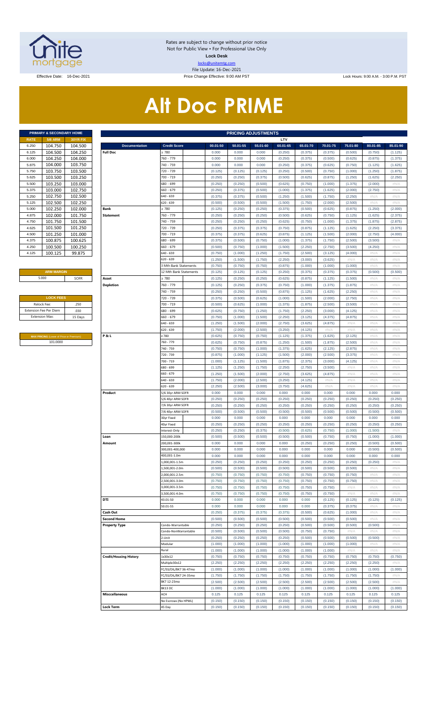

Rates are subject to change without prior notice Not for Public View • For Professional Use Only **Lock Desk** locks@unitemtg.com File Update: 16-Dec-2021

Effective Date: 16-Dec-2021 **Price Change Effective: 9:00 AM PST** Lock Hours: 9:00 A.M. - 3:00 P.M. PST

# **Alt Doc PRIME**

|             | <b>PRIMARY &amp; SECONDARY HOME</b> |                 |
|-------------|-------------------------------------|-----------------|
| <b>RATE</b> | <b>5/6 ARM</b>                      | <b>30YR FIX</b> |
| 6.250       | 104.750                             | 104.500         |
| 6.125       | 104.500                             | 104.250         |
| 6.000       | 104.250                             | 104.000         |
| 5.875       | 104.000                             | 103.750         |
| 5.750       | 103.750                             | 103.500         |
| 5.625       | 103.500                             | 103.250         |
| 5.500       | 103.250                             | 103.000         |
| 5.375       | 103.000                             | 102.750         |
| 5.250       | 102.750                             | 102.500         |
| 5.125       | 102.500                             | 102.250         |
| 5.000       | 102.250                             | 102.000         |
| 4.875       | 102.000                             | 101.750         |
| 4.750       | 101.750                             | 101.500         |
| 4.625       | 101.500                             | 101.250         |
| 4.500       | 101.250                             | 101.000         |
| 4.375       | 100.875                             | 100.625         |
| 4.250       | 100.500                             | 100.250         |
| 4.125       | 100.125                             | 99.875          |

#### **ARM MARGIN**

| <b>LOCK FEES</b>              |         |
|-------------------------------|---------|
| Relock Fee:                   | 250     |
| <b>Extension Fee Per Diem</b> | .030    |
| <b>Extension Max:</b>         | 15 Days |
|                               |         |

**MAX PRICING** (Lower of Price or Premium) 101.0000

|                | PRIMARY & SECONDARY HOME                |          |                               |                              |          | <b>PRICING ADJUSTMENTS</b> |          |          |          |          |          |          |          |
|----------------|-----------------------------------------|----------|-------------------------------|------------------------------|----------|----------------------------|----------|----------|----------|----------|----------|----------|----------|
| RATE           | <b>5/6 ARM</b>                          | 30YR FIX |                               |                              |          |                            |          | LTV      |          |          |          |          |          |
| 6.250          | 104.750                                 | 104.500  | <b>Documentation</b>          | <b>Credit Score</b>          | 00.01-50 | 50.01-55                   | 55.01-60 | 60.01-65 | 65.01-70 | 70.01-75 | 75.01-80 | 80.01-85 | 85.01-90 |
| 6.125          | 104.500                                 | 104.250  | <b>Full Doc</b>               | 2780                         | 0.000    | 0.000                      | 0.000    | (0.250)  | (0.375)  | (0.375)  | (0.500)  | (0.750)  | (1.125)  |
| 6.000          | 104.250                                 | 104.000  |                               | 760 - 779                    | 0.000    | 0.000                      | 0.000    | (0.250)  | (0.375)  | (0.500)  | (0.625)  | (0.875)  | (1.375)  |
| 5.875          | 104.000                                 | 103.750  |                               | 740 - 759                    | 0.000    | 0.000                      | 0.000    | (0.250)  | (0.375)  | (0.625)  | (0.750)  | (1.125)  | (1.625)  |
| 5.750          | 103.750                                 | 103.500  |                               | 720 - 739                    | (0.125)  | (0.125)                    | (0.125)  | (0.250)  | (0.500)  | (0.750)  | (1.000)  | (1.250)  | (1.875)  |
| 5.625          | 103.500                                 | 103.250  |                               | 700 - 719                    | (0.250)  | (0.250)                    | (0.375)  | (0.500)  | (0.625)  | (0.875)  | (1.250)  | (1.625)  | (2.250)  |
| 5.500          | 103.250                                 | 103.000  |                               | 680 - 699                    | (0.250)  | (0.250)                    | (0.500)  | (0.625)  | (0.750)  | (1.000)  | (1.375)  | (2.000)  | #N/A     |
| 5.375          | 103.000                                 | 102.750  |                               | 660 - 679                    | (0.250)  |                            | (0.500)  | (1.000)  |          | (1.625)  | (2.000)  | (2.750)  | #N/A     |
|                |                                         |          |                               |                              |          | (0.375)                    |          |          | (1.375)  |          |          |          |          |
| 5.250          | 102.750                                 | 102.500  |                               | $640 - 659$                  | (0.375)  | (0.375)                    | (0.500)  | (1.250)  | (1.500)  | (1.750)  | (2.250)  | #N/A     | #N/A     |
| 5.125          | 102.500                                 | 102.250  |                               | 620 - 639                    | (0.500)  | (0.500)                    | (0.500)  | (1.500)  | (1.750)  | (2.000)  | (2.500)  | #N/A     | #N/A     |
| 5.000          | 102.250                                 | 102.000  | Bank                          | 2780                         | (0.125)  | (0.250)                    | (0.250)  | (0.375)  | (0.500)  | (0.625)  | (0.875)  | (1.250)  | (2.000)  |
| 4.875          | 102.000                                 | 101.750  | <b>Statement</b>              | 760 - 779                    | (0.250)  | (0.250)                    | (0.250)  | (0.500)  | (0.625)  | (0.750)  | (1.125)  | (1.625)  | (2.375)  |
| 4.750          | 101.750                                 | 101.500  |                               | 740 - 759                    | (0.250)  | (0.250)                    | (0.250)  | (0.625)  | (0.750)  | (1.000)  | (1.375)  | (1.875)  | (2.875)  |
| 4.625          | 101.500                                 | 101.250  |                               | 720 - 739                    | (0.250)  | (0.375)                    | (0.375)  | (0.750)  | (0.875)  | (1.125)  | (1.625)  | (2.250)  | (3.375)  |
| 4.500          | 101.250                                 | 101.000  |                               | 700 - 719                    | (0.375)  | (0.375)                    | (0.625)  | (0.875)  | (1.125)  | (1.500)  | (2.000)  | (2.750)  | (4.000)  |
| 4.375          | 100.875                                 | 100.625  |                               | 680 - 699                    | (0.375)  | (0.500)                    | (0.750)  | (1.000)  | (1.375)  | (1.750)  | (2.500)  | (3.500)  | #N/A     |
| 4.250          | 100.500                                 | 100.250  |                               | 660 - 679                    | (0.500)  | (0.750)                    | (1.000)  | (1.500)  | (2.250)  | (2.750)  | (3.500)  | (4.250)  | #N/A     |
|                |                                         |          |                               |                              |          |                            |          |          |          |          |          |          |          |
| 4.125          | 100.125                                 | 99.875   |                               | $640 - 659$                  | (0.750)  | (1.000)                    | (1.250)  | (1.750)  | (2.500)  | (3.125)  | (4.000)  | #N/A     | #N/A     |
|                |                                         |          |                               | $620 - 639$                  | (1.250)  | (1.500)                    | (1.750)  | (2.250)  | (3.000)  | (3.625)  | #N/A     | #N/A     | #N/A     |
|                |                                         |          |                               | <b>B Mth Bank Statements</b> | (0.750)  | (0.750)                    | (0.750)  | (0.875)  | (1.000)  | (1.000)  | (1.000)  | $\#N/A$  | #N/A     |
|                | <b>ARM MARGIN</b>                       |          |                               | 12 Mth Bank Statements       | (0.125)  | (0.125)                    | (0.125)  | (0.250)  | (0.375)  | (0.375)  | (0.375)  | (0.500)  | (0.500)  |
| 5.000          |                                         | SOFR     | Asset                         | 2780                         | (0.125)  | (0.250)                    | (0.250)  | (0.625)  | (0.875)  | (1.125)  | (1.500)  | #N/A     | #N/A     |
|                |                                         |          | <b>Depletion</b>              | 760 - 779                    | (0.125)  | (0.250)                    | (0.375)  | (0.750)  | (1.000)  | (1.375)  | (1.875)  | #N/A     | #N/A     |
|                |                                         |          |                               | 740 - 759                    | (0.250)  | (0.250)                    | (0.500)  | (0.875)  | (1.125)  | (1.625)  | (2.250)  | #N/A     | #N/A     |
|                | <b>LOCK FEES</b>                        |          |                               | 720 - 739                    | (0.375)  | (0.500)                    | (0.625)  | (1.000)  | (1.500)  | (2.000)  | (2.750)  | #N/A     | #N/A     |
|                |                                         |          |                               |                              |          |                            |          |          |          |          |          |          |          |
| Relock Fee:    |                                         | .250     |                               | 700 - 719                    | (0.500)  | (0.625)                    | (1.000)  | (1.375)  | (1.875)  | (2.500)  | (3.500)  | #N/A     | #N/A     |
|                | xtension Fee Per Diem                   | .030     |                               | 680 - 699                    | (0.625)  | (0.750)                    | (1.250)  | (1.750)  | (2.250)  | (3.000)  | (4.125)  | #N/A     | #N/A     |
| Extension Max: |                                         | 15 Days  |                               | $660 - 679$                  | (0.750)  | (1.000)                    | (1.500)  | (2.250)  | (3.125)  | (4.375)  | (4.875)  | #N/A     | #N/A     |
|                |                                         |          |                               | $640 - 659$                  | (1.250)  | (1.500)                    | (2.000)  | (2.750)  | (3.625)  | (4.875)  | #N/A     | #N/A     | #N/A     |
|                |                                         |          |                               | $620 - 639$                  | (1.750)  | (2.000)                    | (2.500)  | (3.250)  | (4.125)  | #N/A     | $\#N/A$  | #N/A     | #N/A     |
|                | MAX PRICING (Lower of Price or Premium) |          | P&L                           | 2780                         | (0.625)  | (0.750)                    | (0.750)  | (1.125)  | (1.375)  | (1.625)  | (2.125)  | #N/A     | #N/A     |
|                | 101.0000                                |          |                               | 760 - 779                    | (0.625)  | (0.750)                    | (0.875)  | (1.250)  | (1.500)  | (1.875)  | (2.500)  | #N/A     | #N/A     |
|                |                                         |          |                               | 740 - 759                    | (0.750)  | (0.750)                    | (1.000)  | (1.375)  | (1.625)  | (2.125)  | (2.875)  | #N/A     | #N/A     |
|                |                                         |          |                               |                              |          |                            |          |          |          |          |          |          |          |
|                |                                         |          |                               | 720 - 739                    | (0.875)  | (1.000)                    | (1.125)  | (1.500)  | (2.000)  | (2.500)  | (3.375)  | #N/A     | #N/A     |
|                |                                         |          |                               | 700 - 719                    | (1.000)  | (1.125)                    | (1.500)  | (1.875)  | (2.375)  | (3.000)  | (4.125)  | #N/A     | #N/A     |
|                |                                         |          |                               | 680 - 699                    | (1.125)  | (1.250)                    | (1.750)  | (2.250)  | (2.750)  | (3.500)  | #N/A     | #N/A     | #N/A     |
|                |                                         |          |                               | 660 - 679                    | (1.250)  | (1.500)                    | (2.000)  | (2.750)  | (3.625)  | (4.875)  | #N/A     | #N/A     | #N/A     |
|                |                                         |          |                               | 640 - 659                    | (1.750)  | (2.000)                    | (2.500)  | (3.250)  | (4.125)  | #N/A     | #N/A     | #N/A     | #N/A     |
|                |                                         |          |                               | $620 - 639$                  | (2.250)  | (2.500)                    | (3.000)  | (3.750)  | (4.625)  | #N/A     | #N/A     | #N/A     | #N/A     |
|                |                                         |          | Product                       | 5/6 30yr ARM SOFR            | 0.000    | 0.000                      | 0.000    | 0.000    | 0.000    | 0.000    | 0.000    | 0.000    | 0.000    |
|                |                                         |          |                               | 5/6 40yr ARM SOFR            | (0.250)  | (0.250)                    | (0.250)  | (0.250)  | (0.250)  | (0.250)  | (0.250)  | (0.250)  | (0.250)  |
|                |                                         |          |                               | 7/6 30yr ARM SOFR            | (0.250)  | (0.250)                    | (0.250)  | (0.250)  | (0.250)  | (0.250)  | (0.250)  | (0.250)  | (0.250)  |
|                |                                         |          |                               | 7/6 40yr ARM SOFR            | (0.500)  | (0.500)                    | (0.500)  | (0.500)  | (0.500)  | (0.500)  | (0.500)  | (0.500)  | (0.500)  |
|                |                                         |          |                               |                              |          |                            |          |          |          |          |          |          |          |
|                |                                         |          |                               | 30yr Fixed                   | 0.000    | 0.000                      | 0.000    | 0.000    | 0.000    | 0.000    | 0.000    | 0.000    | 0.000    |
|                |                                         |          |                               | 40yr Fixed                   | (0.250)  | (0.250)                    | (0.250)  | (0.250)  | (0.250)  | (0.250)  | (0.250)  | (0.250)  | (0.250)  |
|                |                                         |          |                               | nterest-Only                 | (0.250)  | (0.250)                    | (0.375)  | (0.500)  | (0.625)  | (0.750)  | (1.000)  | (1.500)  | #N/A     |
|                |                                         |          | Loan                          | 150,000-200k                 | (0.500)  | (0.500)                    | (0.500)  | (0.500)  | (0.500)  | (0.750)  | (0.750)  | (1.000)  | (1.000)  |
|                |                                         |          | Amount                        | 200,001-300k                 | 0.000    | 0.000                      | 0.000    | 0.000    | (0.250)  | (0.250)  | (0.250)  | (0.500)  | (0.500)  |
|                |                                         |          |                               | 300,001-400,000              | 0.000    | 0.000                      | 0.000    | 0.000    | 0.000    | 0.000    | 0.000    | (0.500)  | (0.500)  |
|                |                                         |          |                               | 400,001-1.0m                 | 0.000    | 0.000                      | 0.000    | 0.000    | 0.000    | 0.000    | 0.000    | 0.000    | 0.000    |
|                |                                         |          |                               | 1,000,001-1.5m               | (0.250)  | (0.250)                    | (0.250)  | (0.250)  | (0.250)  | (0.250)  | (0.250)  | (0.250)  | #N/A     |
|                |                                         |          |                               | 1,500,001-2.0m               |          |                            |          |          |          |          |          | #N/A     | #N/A     |
|                |                                         |          |                               |                              | (0.500)  | (0.500)                    | (0.500)  | (0.500)  | (0.500)  | (0.500)  | (0.500)  |          |          |
|                |                                         |          |                               | 2,000,001-2.5m               | (0.750)  | (0.750)                    | (0.750)  | (0.750)  | (0.750)  | (0.750)  | (0.750)  | #N/A     | #N/A     |
|                |                                         |          |                               | 2,500,001-3.0m               | (0.750)  | (0.750)                    | (0.750)  | (0.750)  | (0.750)  | (0.750)  | (0.750)  | #N/A     | #N/A     |
|                |                                         |          |                               | 3,000,001-3.5m               | (0.750)  | (0.750)                    | (0.750)  | (0.750)  | (0.750)  | (0.750)  | #N/A     | #N/A     | #N/A     |
|                |                                         |          |                               | 3,500,001-4.0m               | (0.750)  | (0.750)                    | (0.750)  | (0.750)  | (0.750)  | (0.750)  | #N/A     | #N/A     | #N/A     |
|                |                                         |          | DTI                           | 43.01-50                     | 0.000    | 0.000                      | 0.000    | 0.000    | 0.000    | (0.125)  | (0.125)  | (0.125)  | (0.125)  |
|                |                                         |          |                               | 50.01-55                     | 0.000    | 0.000                      | 0.000    | 0.000    | 0.000    | (0.375)  | (0.375)  | #N/A     | #N/A     |
|                |                                         |          | Cash Out                      |                              | (0.250)  | (0.375)                    | (0.375)  | (0.375)  | (0.500)  | (0.625)  | (1.000)  | #N/A     | #N/A     |
|                |                                         |          | <b>Second Home</b>            |                              | (0.500)  | (0.500)                    | (0.500)  | (0.500)  | (0.500)  | (0.500)  | (0.500)  | #N/A     | #N/A     |
|                |                                         |          |                               | Condo-Warrantable            |          |                            |          |          |          |          |          |          |          |
|                |                                         |          | <b>Property Type</b>          |                              | (0.250)  | (0.250)                    | (0.250)  | (0.250)  | (0.500)  | (0.500)  | (0.500)  | (0.500)  | #N/A     |
|                |                                         |          |                               | Condo-NonWarrantable         | (0.500)  | (0.500)                    | (0.500)  | (0.500)  | (0.750)  | (0.750)  | #N/A     | #N/A     | #N/A     |
|                |                                         |          |                               | 2-Unit                       | (0.250)  | (0.250)                    | (0.250)  | (0.250)  | (0.500)  | (0.500)  | (0.500)  | (0.500)  | #N/A     |
|                |                                         |          |                               | Modular                      | (1.000)  | (1.000)                    | (1.000)  | (1.000)  | (1.000)  | (1.000)  | (1.000)  | #N/A     | #N/A     |
|                |                                         |          |                               | Rural                        | (1.000)  | (1.000)                    | (1.000)  | (1.000)  | (1.000)  | (1.000)  | #N/A     | #N/A     | #N/A     |
|                |                                         |          | <b>Credit/Housing History</b> | 1x30x12                      | (0.750)  | (0.750)                    | (0.750)  | (0.750)  | (0.750)  | (0.750)  | (0.750)  | (0.750)  | (0.750)  |
|                |                                         |          |                               | Multiple30x12                | (2.250)  | (2.250)                    | (2.250)  | (2.250)  | (2.250)  | (2.250)  | (2.250)  | (2.250)  | #N/A     |
|                |                                         |          |                               | FC/SS/DIL/BK7 36-47mo        | (1.000)  | (1.000)                    | (1.000)  | (1.000)  | (1.000)  | (1.000)  | (1.000)  | (1.000)  | (1.000)  |
|                |                                         |          |                               | FC/SS/DIL/BK7 24-35mo        |          |                            |          |          |          |          |          |          | #N/A     |
|                |                                         |          |                               |                              | (1.750)  | (1.750)                    | (1.750)  | (1.750)  | (1.750)  | (1.750)  | (1.750)  | (1.750)  |          |
|                |                                         |          |                               | BK7 12-23mo                  | (2.500)  | (2.500)                    | (2.500)  | (2.500)  | (2.500)  | (2.500)  | (2.500)  | (2.500)  | #N/A     |
|                |                                         |          |                               | BK13DC                       | (1.000)  | (1.000)                    | (1.000)  | (1.000)  | (1.000)  | (1.000)  | (1.000)  | (1.000)  | (1.000)  |
|                |                                         |          | <b>Misccellaneous</b>         | ACH                          | 0.125    | 0.125                      | 0.125    | 0.125    | 0.125    | 0.125    | 0.125    | 0.125    | 0.125    |
|                |                                         |          |                               | No Escrows (No HPML)         | (0.150)  | (0.150)                    | (0.150)  | (0.150)  | (0.150)  | (0.150)  | (0.150)  | (0.150)  | (0.150)  |
|                |                                         |          | <b>Lock Term</b>              | 45 Day                       | (0.150)  | (0.150)                    | (0.150)  | (0.150)  | (0.150)  | (0.150)  | (0.150)  | (0.150)  | (0.150)  |
|                |                                         |          |                               |                              |          |                            |          |          |          |          |          |          |          |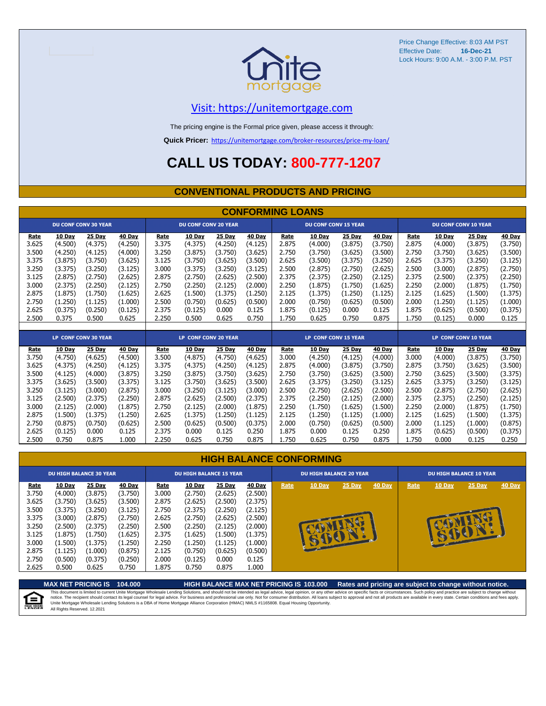

#### [V](https://unitemortgage.com/)isit: https://unitemortgage.com

The pricing engine is the Formal price given, please access it through:

**Quick Pricer:** [https://un](https://unitemortgage.com/broker-resources/price-my-loan/)itemortgage.com/broker-resources/price-my-loan/

### **CALL US TODAY: 800-777-1207**

#### **CONVENTIONAL PRODUCTS AND PRICING**

|                |                    |                             |                    |                |                             |                    | <b>CONFORMING LOANS</b> |                |                             |                    |                    |                |                             |                             |                    |  |
|----------------|--------------------|-----------------------------|--------------------|----------------|-----------------------------|--------------------|-------------------------|----------------|-----------------------------|--------------------|--------------------|----------------|-----------------------------|-----------------------------|--------------------|--|
|                |                    | <b>DU CONF CONV 30 YEAR</b> |                    |                | <b>DU CONF CONV 20 YEAR</b> |                    |                         |                | <b>DU CONF CONV 15 YEAR</b> |                    |                    |                | <b>DU CONF CONV 10 YEAR</b> |                             |                    |  |
| Rate<br>3.625  | 10 Day<br>(4.500)  | 25 Day<br>(4.375)           | 40 Day<br>(4.250)  | Rate<br>3.375  | <b>10 Day</b><br>(4.375)    | 25 Day<br>(4.250)  | 40 Day<br>(4.125)       | Rate<br>2.875  | 10 Day<br>(4.000)           | 25 Day<br>(3.875)  | 40 Day<br>(3.750)  | Rate<br>2.875  | 10 Day<br>(4.000)           | 25 Day<br>(3.875)           | 40 Day<br>(3.750)  |  |
| 3.500          | (4.250)            | (4.125)                     | (4.000)            | 3.250          | (3.875)                     | (3.750)            | (3.625)                 | 2.750          | (3.750)                     | (3.625)            | (3.500)            | 2.750          | (3.750)                     | (3.625)                     | (3.500)            |  |
| 3.375          | (3.875)            | (3.750)                     | (3.625)            | 3.125          | (3.750)                     | (3.625)            | (3.500)                 | 2.625          | (3.500)                     | (3.375)            | (3.250)            | 2.625          | (3.375)                     | (3.250)                     | (3.125)            |  |
| 3.250          | (3.375)            | (3.250)                     | (3.125)            | 3.000          | (3.375)                     | (3.250)            | (3.125)                 | 2.500          | (2.875)                     | (2.750)            | (2.625)            | 2.500          | (3.000)                     | (2.875)                     | (2.750)            |  |
| 3.125          | (2.875)            | (2.750)                     | (2.625)            | 2.875          | (2.750)                     | (2.625)            | (2.500)                 | 2.375          | (2.375)                     | (2.250)            | (2.125)            | 2.375          | (2.500)                     | (2.375)                     | (2.250)            |  |
| 3.000          | (2.375)            | (2.250)                     | (2.125)            | 2.750          | (2.250)                     | (2.125)            | (2.000)                 | 2.250          | (1.875)                     | (1.750)            | (1.625)            | 2.250          | (2.000)                     | (1.875)                     | (1.750)            |  |
| 2.875          | (1.875)            | (1.750)                     | (1.625)            | 2.625          | (1.500)                     | (1.375)            | (1.250)                 | 2.125          | (1.375)                     | (1.250)            | (1.125)            | 2.125          | (1.625)                     | (1.500)                     | (1.375)            |  |
| 2.750<br>2.625 | (1.250)<br>(0.375) | (1.125)<br>(0.250)          | (1.000)<br>(0.125) | 2.500<br>2.375 | (0.750)<br>(0.125)          | (0.625)<br>0.000   | (0.500)<br>0.125        | 2.000<br>1.875 | (0.750)<br>(0.125)          | (0.625)<br>0.000   | (0.500)<br>0.125   | 2.000<br>1.875 | (1.250)<br>(0.625)          | (1.125)<br>(0.500)          | (1.000)<br>(0.375) |  |
| 2.500          | 0.375              | 0.500                       | 0.625              | 2.250          | 0.500                       | 0.625              | 0.750                   | 1.750          | 0.625                       | 0.750              | 0.875              | 1.750          | (0.125)                     | 0.000                       | 0.125              |  |
|                |                    |                             |                    |                |                             |                    |                         |                |                             |                    |                    |                |                             |                             |                    |  |
|                |                    | <b>LP CONF CONV 30 YEAR</b> |                    |                | <b>LP CONF CONV 20 YEAR</b> |                    |                         |                | <b>LP CONF CONV 15 YEAR</b> |                    |                    |                |                             | <b>LP CONF CONV 10 YEAR</b> |                    |  |
| Rate           | <b>10 Day</b>      | <b>25 Day</b>               | 40 Day             | Rate           | 10 Day                      | <b>25 Day</b>      | <b>40 Day</b>           | Rate           | 10 Day                      | <b>25 Day</b>      | <b>40 Day</b>      | Rate           | <b>10 Day</b>               | <b>25 Day</b>               | <b>40 Day</b>      |  |
| 3.750          | (4.750)            | (4.625)                     | (4.500)            | 3.500          | (4.875)                     | (4.750)            | (4.625)                 | 3.000          | (4.250)                     | (4.125)            | (4.000)            | 3.000          | (4.000)                     | (3.875)                     | (3.750)            |  |
| 3.625          | (4.375)            | (4.250)                     | (4.125)            | 3.375          | (4.375)                     | (4.250)            | (4.125)                 | 2.875          | (4.000)                     | (3.875)            | (3.750)            | 2.875          | (3.750)                     | (3.625)                     | (3.500)            |  |
| 3.500          | (4.125)            | (4.000)                     | (3.875)            | 3.250          | (3.875)                     | (3.750)            | (3.625)                 | 2.750          | (3.750)                     | (3.625)            | (3.500)            | 2.750          | (3.625)                     | (3.500)                     | (3.375)            |  |
| 3.375<br>3.250 | (3.625)<br>(3.125) | (3.500)<br>(3.000)          | (3.375)<br>(2.875) | 3.125<br>3.000 | (3.750)<br>(3.250)          | (3.625)<br>(3.125) | (3.500)<br>(3.000)      | 2.625<br>2.500 | (3.375)<br>(2.750)          | (3.250)<br>(2.625) | (3.125)<br>(2.500) | 2.625<br>2.500 | (3.375)<br>(2.875)          | (3.250)<br>(2.750)          | (3.125)<br>(2.625) |  |
| 3.125          | (2.500)            | (2.375)                     | (2.250)            | 2.875          | (2.625)                     | (2.500)            | (2.375)                 | 2.375          | (2.250)                     | (2.125)            | (2.000)            | 2.375          | $2.375^{\circ}$             | (2.250)                     | (2.125)            |  |

#### 3.125 (2.500) (2.375) (2.250) 2.875 (2.625) (2.500) (2.375) 2.375 (2.250) (2.125) (2.000) 2.375 (2.375) (2.250) (2.125) 3.000 (2.125) (2.000) (1.875) 2.750 (2.125) (2.000) (1.875) 2.250 (1.750) (1.625) (1.500) 2.250 (2.000) (1.875) (1.750) 2.875 (1.500) (1.375) (1.250) 2.625 (1.375) (1.250) (1.125) 2.125 (1.250) (1.125) (1.000) 2.125 (1.625) (1.500) (1.375) 2.750 (0.875) (0.750) (0.625) 2.500 (0.625) (0.500) (0.375) 2.000 (0.750) (0.625) (0.500) 2.000 (1.125) (1.000) (0.875) 2.625 (0.125) 0.000 0.125 2.375 0.000 0.125 0.250 1.875 0.000 0.125 0.250 1.875 (0.625) (0.500) (0.375) 2.500 0.750 0.875 1.000 2.250 0.625 0.750 0.875 1.750 0.625 0.750 0.875 1.750 0.000 0.125 0.250

|                                                            | <b>HIGH BALANCE CONFORMING</b>                                           |                                                                                 |                                                                                 |                                                            |                                                                                 |                                                                                 |                                                                                 |                                |                     |          |        |                                |               |          |        |
|------------------------------------------------------------|--------------------------------------------------------------------------|---------------------------------------------------------------------------------|---------------------------------------------------------------------------------|------------------------------------------------------------|---------------------------------------------------------------------------------|---------------------------------------------------------------------------------|---------------------------------------------------------------------------------|--------------------------------|---------------------|----------|--------|--------------------------------|---------------|----------|--------|
|                                                            | <b>DU HIGH BALANCE 30 YEAR</b>                                           |                                                                                 |                                                                                 |                                                            | <b>DU HIGH BALANCE 15 YEAR</b>                                                  |                                                                                 |                                                                                 | <b>DU HIGH BALANCE 20 YEAR</b> |                     |          |        | <b>DU HIGH BALANCE 10 YEAR</b> |               |          |        |
| Rate<br>3.750<br>3.625<br>3.500<br>3.375<br>3.250<br>3.125 | 10 Day<br>(4.000)<br>(3.750)<br>(3.375)<br>(3.000)<br>(2.500)<br>(1.875) | <b>25 Day</b><br>(3.875)<br>(3.625)<br>(3.250)<br>(2.875)<br>(2.375)<br>(1.750) | <b>40 Day</b><br>(3.750)<br>(3.500)<br>(3.125)<br>(2.750)<br>(2.250)<br>(1.625) | Rate<br>3.000<br>2.875<br>2.750<br>2.625<br>2.500<br>2.375 | <b>10 Day</b><br>(2.750)<br>(2.625)<br>(2.375)<br>(2.750)<br>(2.250)<br>(1.625) | <b>25 Day</b><br>(2.625)<br>(2.500)<br>(2.250)<br>(2.625)<br>(2.125)<br>(1.500) | <b>40 Day</b><br>(2.500)<br>(2.375)<br>(2.125)<br>(2.500)<br>(2.000)<br>(1.375) | Rate                           | 10 Day<br><b>AU</b> | $25$ Day | 40 Day | Rate                           | <b>10 Day</b> | $25$ Day | 40 Day |
| 3.000<br>2.875<br>2.750<br>2.625                           | (1.500)<br>(1.125)<br>(0.500)<br>0.500                                   | (1.375)<br>(1.000)<br>(0.375)<br>0.625                                          | (1.250)<br>(0.875)<br>(0.250)<br>0.750                                          | 2.250<br>2.125<br>2.000<br>1.875                           | (1.250)<br>(0.750)<br>(0.125)<br>0.750                                          | (1.125)<br>(0.625)<br>0.000<br>0.875                                            | (1.000)<br>(0.500)<br>0.125<br>1.000                                            |                                | $\mathbf{r}$        |          |        |                                |               |          |        |

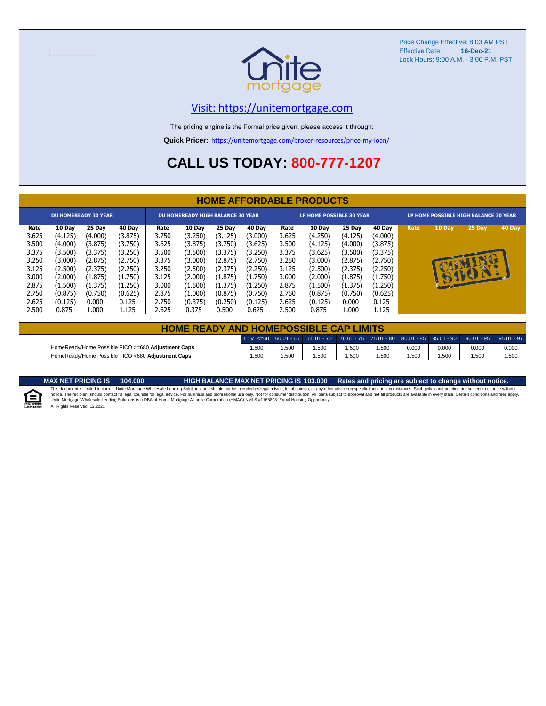

#### [V](https://unitemortgage.com/)isit: https://unitemortgage.com

The pricing engine is the Formal price given, please access it through:

**Quick Pricer:** [https://un](https://unitemortgage.com/broker-resources/price-my-loan/)itemortgage.com/broker-resources/price-my-loan/

### **CALL US TODAY: 800-777-1207**

|                             | <b>HOME AFFORDABLE PRODUCTS</b> |         |         |             |                                          |         |         |                                 |               |         |         |                                       |              |              |        |
|-----------------------------|---------------------------------|---------|---------|-------------|------------------------------------------|---------|---------|---------------------------------|---------------|---------|---------|---------------------------------------|--------------|--------------|--------|
| <b>DU HOMEREADY 30 YEAR</b> |                                 |         |         |             | <b>DU HOMEREADY HIGH BALANCE 30 YEAR</b> |         |         | <b>LP HOME POSSIBLE 30 YEAR</b> |               |         |         | LP HOME POSSIBLE HIGH BALANCE 30 YEAR |              |              |        |
| <u>Rate</u>                 | 10 Day                          | 25 Day  | 40 Day  | <u>Rate</u> | <b>10 Day</b>                            | 25 Day  | 40 Day  | <u>Rate</u>                     | <b>10 Day</b> | 25 Day  | 40 Day  | Rate                                  | 10 Day       | 25 Day       | 40 Day |
| 3.625                       | (4.125)                         | (4.000) | (3.875) | 3.750       | (3.250)                                  | (3.125) | (3.000) | 3.625                           | (4.250)       | (4.125) | (4.000) |                                       |              |              |        |
| 3.500                       | (4.000)                         | (3.875) | (3.750) | 3.625       | (3.875)                                  | (3.750) | (3.625) | 3.500                           | (4.125)       | (4.000) | (3.875) |                                       |              |              |        |
| 3.375                       | (3.500)                         | (3.375) | (3.250) | 3.500       | (3.500)                                  | (3.375) | (3.250) | 3.375                           | (3.625)       | (3.500) | (3.375) |                                       |              |              |        |
| 3.250                       | (3.000)                         | (2.875) | (2.750) | 3.375       | (3.000)                                  | (2.875) | (2.750) | 3.250                           | (3.000)       | (2.875) | (2.750) |                                       |              |              |        |
| 3.125                       | (2.500)                         | (2.375) | (2.250) | 3.250       | (2.500)                                  | (2.375) | (2.250) | 3.125                           | (2.500)       | (2.375) | (2.250) |                                       |              |              |        |
| 3.000                       | (2.000)                         | (1.875) | (1.750) | 3.125       | (2.000)                                  | (1.875) | (1.750) | 3.000                           | (2.000)       | (1.875) | (1.750) |                                       | $\mathbf{r}$ | $\mathbf{P}$ |        |
| 2.875                       | (1.500)                         | (1.375) | (1.250) | 3.000       | (1.500)                                  | (1.375) | (1.250) | 2.875                           | (1.500)       | (1.375) | (1.250) |                                       |              |              |        |
| 2.750                       | (0.875)                         | (0.750) | (0.625) | 2.875       | (1.000)                                  | (0.875) | (0.750) | 2.750                           | (0.875)       | (0.750) | (0.625) |                                       |              |              |        |
| 2.625                       | (0.125)                         | 0.000   | 0.125   | 2.750       | (0.375)                                  | (0.250) | (0.125) | 2.625                           | (0.125)       | 0.000   | 0.125   |                                       |              |              |        |
| 2.500                       | 0.875                           | 1.000   | 1.125   | 2.625       | 0.375                                    | 0.500   | 0.625   | 2.500                           | 0.875         | 1.000   | 1.125   |                                       |              |              |        |

| <b>HOME READY AND HOMEPOSSIBLE CAP LIMITS</b>      |      |      |      |      |                  |       |       |                                                                                                  |       |  |  |
|----------------------------------------------------|------|------|------|------|------------------|-------|-------|--------------------------------------------------------------------------------------------------|-------|--|--|
|                                                    |      |      |      |      |                  |       |       | LTV <=60 60.01 - 65 65.01 - 70 70.01 - 75 75.01 - 80 80.01 - 85 85.01 - 90 90.01 - 95 95.01 - 97 |       |  |  |
| HomeReady/Home Possible FICO >=680 Adjustment Caps | .500 | .500 | .500 | .500 | .500             | 0.000 | 0.000 | 0.000                                                                                            | 0.000 |  |  |
| HomeReady/Home Possible FICO <680 Adiustment Caps  | .500 | .500 | .500 | .500 | .50 <sub>C</sub> | .500  | .500  | .500                                                                                             | 1.500 |  |  |

MAX NET PRICING IS 103.000 Rates and pricing are subject to change without notice.<br>This document is limited to current Unite Mortgage Wholesale Lending Solutions, and should not be intended as legal advice, legal opinion,



All Rights Reserved. 12.2021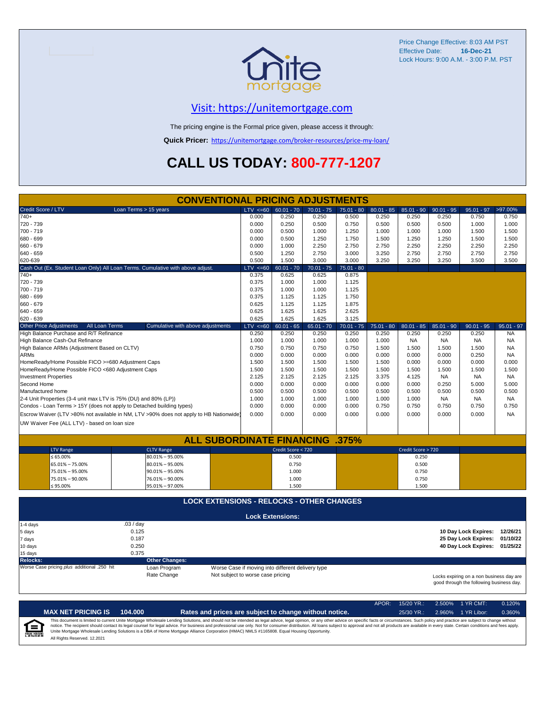

### [V](https://unitemortgage.com/)isit: https://unitemortgage.com

The pricing engine is the Formal price given, please access it through:

**Quick Pricer:** [https://un](https://unitemortgage.com/broker-resources/price-my-loan/)itemortgage.com/broker-resources/price-my-loan/

### **CALL US TODAY: 800-777-1207**

|                                                                                | <b>CONVENTIONAL PRICING ADJUSTMENTS</b>                                                |              |                                                   |              |              |              |                    |              |                                                                                      |              |
|--------------------------------------------------------------------------------|----------------------------------------------------------------------------------------|--------------|---------------------------------------------------|--------------|--------------|--------------|--------------------|--------------|--------------------------------------------------------------------------------------|--------------|
| Credit Score / LTV                                                             | Loan Terms > 15 years                                                                  | $LTV \le 60$ | $60.01 - 70$                                      | $70.01 - 75$ | $75.01 - 80$ | $80.01 - 85$ | $85.01 - 90$       | $90.01 - 95$ | $95.01 - 97$                                                                         | >97.00%      |
| $740+$                                                                         |                                                                                        | 0.000        | 0.250                                             | 0.250        | 0.500        | 0.250        | 0.250              | 0.250        | 0.750                                                                                | 0.750        |
| 720 - 739                                                                      |                                                                                        | 0.000        | 0.250                                             | 0.500        | 0.750        | 0.500        | 0.500              | 0.500        | 1.000                                                                                | 1.000        |
| 700 - 719                                                                      |                                                                                        | 0.000        | 0.500                                             | 1.000        | 1.250        | 1.000        | 1.000              | 1.000        | 1.500                                                                                | 1.500        |
| 680 - 699                                                                      |                                                                                        | 0.000        | 0.500                                             | 1.250        | 1.750        | 1.500        | 1.250              | 1.250        | 1.500                                                                                | 1.500        |
| 660 - 679                                                                      |                                                                                        | 0.000        | 1.000                                             | 2.250        | 2.750        | 2.750        | 2.250              | 2.250        | 2.250                                                                                | 2.250        |
| 640 - 659                                                                      |                                                                                        | 0.500        | 1.250                                             | 2.750        | 3.000        | 3.250        | 2.750              | 2.750        | 2.750                                                                                | 2.750        |
| 620-639                                                                        |                                                                                        | 0.500        | 1.500                                             | 3.000        | 3.000        | 3.250        | 3.250              | 3.250        | 3.500                                                                                | 3.500        |
| Cash Out (Ex. Student Loan Only) All Loan Terms. Cumulative with above adjust. |                                                                                        | $LTV \le 60$ | $60.01 - 70$                                      | $70.01 - 75$ | $75.01 - 80$ |              |                    |              |                                                                                      |              |
| $740+$                                                                         |                                                                                        | 0.375        | 0.625                                             | 0.625        | 0.875        |              |                    |              |                                                                                      |              |
| 720 - 739                                                                      |                                                                                        | 0.375        | 1.000                                             | 1.000        | 1.125        |              |                    |              |                                                                                      |              |
| 700 - 719                                                                      |                                                                                        | 0.375        | 1.000                                             | 1.000        | 1.125        |              |                    |              |                                                                                      |              |
| 680 - 699                                                                      |                                                                                        | 0.375        | 1.125                                             | 1.125        | 1.750        |              |                    |              |                                                                                      |              |
| 660 - 679                                                                      |                                                                                        | 0.625        | 1.125                                             | 1.125        | 1.875        |              |                    |              |                                                                                      |              |
| $640 - 659$                                                                    |                                                                                        | 0.625        | 1.625                                             | 1.625        | 2.625        |              |                    |              |                                                                                      |              |
| 620 - 639                                                                      |                                                                                        | 0.625        | 1.625                                             | 1.625        | 3.125        |              |                    |              |                                                                                      |              |
| All Loan Terms<br><b>Other Price Adjustments</b>                               | Cumulative with above adjustments                                                      | $LTV < =60$  | $60.01 - 65$                                      | $65.01 - 70$ | $70.01 - 75$ | $75.01 - 80$ | $80.01 - 85$       | $85.01 - 90$ | $90.01 - 95$                                                                         | $95.01 - 97$ |
| High Balance Purchase and R/T Refinance                                        |                                                                                        | 0.250        | 0.250                                             | 0.250        | 0.250        | 0.250        | 0.250              | 0.250        | 0.250                                                                                | <b>NA</b>    |
| High Balance Cash-Out Refinance                                                |                                                                                        | 1.000        | 1.000                                             | 1.000        | 1.000        | 1.000        | <b>NA</b>          | <b>NA</b>    | <b>NA</b>                                                                            | <b>NA</b>    |
| High Balance ARMs (Adjustment Based on CLTV)                                   |                                                                                        | 0.750        | 0.750                                             | 0.750        | 0.750        | 1.500        | 1.500              | 1.500        | 1.500                                                                                | <b>NA</b>    |
| <b>ARMs</b>                                                                    |                                                                                        | 0.000        | 0.000                                             | 0.000        | 0.000        | 0.000        | 0.000              | 0.000        | 0.250                                                                                | <b>NA</b>    |
| HomeReady/Home Possible FICO >=680 Adjustment Caps                             |                                                                                        | 1.500        | 1.500                                             | 1.500        | 1.500        | 1.500        | 0.000              | 0.000        | 0.000                                                                                | 0.000        |
| HomeReady/Home Possible FICO <680 Adjustment Caps                              |                                                                                        | 1.500        | 1.500                                             | 1.500        | 1.500        | 1.500        | 1.500              | 1.500        | 1.500                                                                                | 1.500        |
| <b>Investment Properties</b>                                                   |                                                                                        | 2.125        | 2.125                                             | 2.125        | 2.125        | 3.375        | 4.125              | <b>NA</b>    | <b>NA</b>                                                                            | <b>NA</b>    |
| Second Home                                                                    |                                                                                        | 0.000        | 0.000                                             | 0.000        | 0.000        | 0.000        | 0.000              | 0.250        | 5.000                                                                                | 5.000        |
| Manufactured home                                                              |                                                                                        | 0.500        | 0.500                                             | 0.500        | 0.500        | 0.500        | 0.500              | 0.500        | 0.500                                                                                | 0.500        |
| 2-4 Unit Properties (3-4 unit max LTV is 75% (DU) and 80% (LP))                |                                                                                        | 1.000        | 1.000                                             | 1.000        | 1.000        | 1.000        | 1.000              | <b>NA</b>    | <b>NA</b>                                                                            | <b>NA</b>    |
| Condos - Loan Terms > 15Y (does not apply to Detached building types)          |                                                                                        | 0.000        | 0.000                                             | 0.000        | 0.000        | 0.750        | 0.750              | 0.750        | 0.750                                                                                | 0.750        |
|                                                                                | Escrow Waiver (LTV >80% not available in NM, LTV >90% does not apply to HB Nationwide) | 0.000        | 0.000                                             | 0.000        | 0.000        | 0.000        | 0.000              | 0.000        | 0.000                                                                                | <b>NA</b>    |
| UW Waiver Fee (ALL LTV) - based on loan size                                   |                                                                                        |              |                                                   |              |              |              |                    |              |                                                                                      |              |
|                                                                                |                                                                                        |              |                                                   |              |              |              |                    |              |                                                                                      |              |
|                                                                                | <b>ALL SUBORDINATE FINANCING .375%</b>                                                 |              |                                                   |              |              |              |                    |              |                                                                                      |              |
| <b>LTV Range</b>                                                               | <b>CLTV Range</b>                                                                      |              | Credit Score < 720                                |              |              |              | Credit Score > 720 |              |                                                                                      |              |
| $\leq 65.00\%$                                                                 | $80.01\% - 95.00\%$                                                                    |              | 0.500                                             |              |              |              | 0.250              |              |                                                                                      |              |
| 65.01% - 75.00%                                                                | $80.01\% - 95.00\%$                                                                    |              | 0.750                                             |              |              |              | 0.500              |              |                                                                                      |              |
| 75.01% - 95.00%                                                                | $90.01\% - 95.00\%$                                                                    |              | 1.000                                             |              |              |              | 0.750              |              |                                                                                      |              |
| 75.01% - 90.00%                                                                | 76.01% - 90.00%                                                                        |              | 1.000                                             |              |              |              | 0.750              |              |                                                                                      |              |
| $≤ 95.00\%$                                                                    | 95.01% - 97.00%                                                                        |              | 1.500                                             |              |              |              | 1.500              |              |                                                                                      |              |
|                                                                                |                                                                                        |              |                                                   |              |              |              |                    |              |                                                                                      |              |
|                                                                                | <b>LOCK EXTENSIONS - RELOCKS - OTHER CHANGES</b>                                       |              |                                                   |              |              |              |                    |              |                                                                                      |              |
|                                                                                |                                                                                        |              | <b>Lock Extensions:</b>                           |              |              |              |                    |              |                                                                                      |              |
| $1-4$ days                                                                     | .03 / day                                                                              |              |                                                   |              |              |              |                    |              |                                                                                      |              |
| 5 days                                                                         | 0.125                                                                                  |              |                                                   |              |              |              |                    |              | 10 Day Lock Expires: 12/26/21                                                        |              |
| 7 days                                                                         | 0.187                                                                                  |              |                                                   |              |              |              |                    |              | 25 Day Lock Expires:                                                                 | 01/10/22     |
| 10 days                                                                        | 0.250                                                                                  |              |                                                   |              |              |              |                    |              | 40 Day Lock Expires: 01/25/22                                                        |              |
| 15 days                                                                        | 0.375                                                                                  |              |                                                   |              |              |              |                    |              |                                                                                      |              |
| <b>Relocks:</b>                                                                | <b>Other Changes:</b>                                                                  |              |                                                   |              |              |              |                    |              |                                                                                      |              |
| Worse Case pricing plus additional .250 hit                                    | Loan Program                                                                           |              | Worse Case if moving into different delivery type |              |              |              |                    |              |                                                                                      |              |
|                                                                                | Rate Change<br>Not subject to worse case pricing                                       |              |                                                   |              |              |              |                    |              | Locks expiring on a non business day are<br>good through the following business day. |              |

|                            |                              |         |                                                                                                                                                                                                                                                                                                                                                                                                                                                                                                                                                                                                                | APOR: | $15/20$ YR.: | $2.500\%$ 1 YR CMT: | 0.120% |
|----------------------------|------------------------------|---------|----------------------------------------------------------------------------------------------------------------------------------------------------------------------------------------------------------------------------------------------------------------------------------------------------------------------------------------------------------------------------------------------------------------------------------------------------------------------------------------------------------------------------------------------------------------------------------------------------------------|-------|--------------|---------------------|--------|
|                            | <b>MAX NET PRICING IS</b>    | 104.000 | Rates and prices are subject to change without notice.                                                                                                                                                                                                                                                                                                                                                                                                                                                                                                                                                         |       | $25/30$ YR.: | 2.960% 1 YR Libor:  | 0.360% |
| ſ≘<br><b>EQUAL HOUSING</b> | All Rights Reserved, 12,2021 |         | This document is limited to current Unite Mortgage Wholesale Lending Solutions, and should not be intended as legal advice, legal opinion, or any other advice on specific facts or circumstances. Such policy and practice ar<br>notice. The recipient should contact its legal counsel for legal advice. For business and professional use only. Not for consumer distribution. All loans subject to approval and not all products are available in every stat<br>Unite Mortgage Wholesale Lending Solutions is a DBA of Home Mortgage Alliance Corporation (HMAC) NMLS #1165808. Equal Housing Opportunity. |       |              |                     |        |